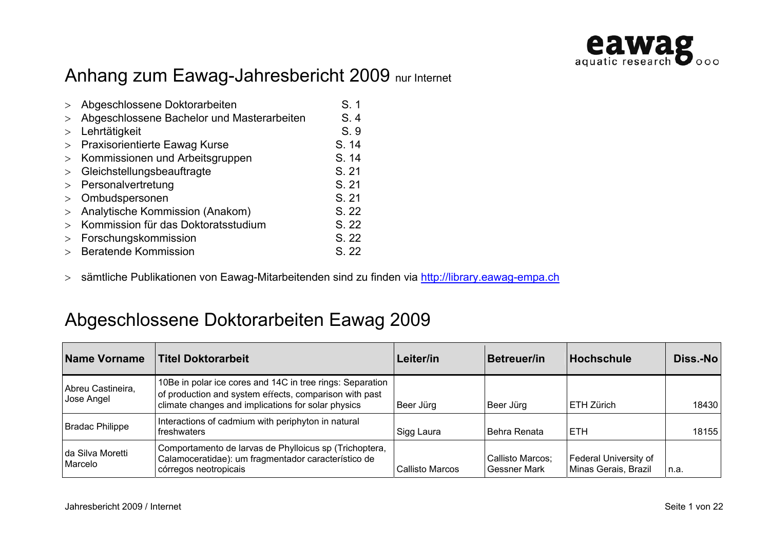

# Anhang zum Eawag-Jahresbericht 2009 nur Internet

|        | Abgeschlossene Doktorarbeiten              | S.1   |
|--------|--------------------------------------------|-------|
|        | Abgeschlossene Bachelor und Masterarbeiten | S.4   |
|        | Lehrtätigkeit                              | S.9   |
|        | Praxisorientierte Eawag Kurse              | S. 14 |
|        | Kommissionen und Arbeitsgruppen            | S. 14 |
| >      | Gleichstellungsbeauftragte                 | S. 21 |
| $\geq$ | Personalvertretung                         | S. 21 |
| $\geq$ | Ombudspersonen                             | S. 21 |
|        | Analytische Kommission (Anakom)            | S. 22 |
|        | Kommission für das Doktoratsstudium        | S. 22 |
|        | Forschungskommission                       | S. 22 |
|        | <b>Beratende Kommission</b>                | S. 22 |

> sämtliche Publikationen von Eawag-Mitarbeitenden sind zu finden via http://library.eawag-empa.ch

#### Abgeschlossene Doktorarbeiten Eawag 2009

| Name Vorname                    | <b>Titel Doktorarbeit</b>                                                                                                                                                 | Leiter/in              | Betreuer/in                             | <b>Hochschule</b>                             | Diss.-No |
|---------------------------------|---------------------------------------------------------------------------------------------------------------------------------------------------------------------------|------------------------|-----------------------------------------|-----------------------------------------------|----------|
| Abreu Castineira,<br>Jose Angel | 10Be in polar ice cores and 14C in tree rings: Separation<br>of production and system effects, comparison with past<br>climate changes and implications for solar physics | Beer Jürg              | Beer Jürg                               | ETH Zürich                                    | 18430    |
| Bradac Philippe                 | Interactions of cadmium with periphyton in natural<br>freshwaters                                                                                                         | Sigg Laura             | Behra Renata                            | IETH.                                         | 18155    |
| I da Silva Moretti<br>Marcelo   | Comportamento de larvas de Phylloicus sp (Trichoptera,<br>Calamoceratidae): um fragmentador característico de<br>córregos neotropicais                                    | <b>Callisto Marcos</b> | Callisto Marcos;<br><b>Gessner Mark</b> | Federal University of<br>Minas Gerais, Brazil | n.a.     |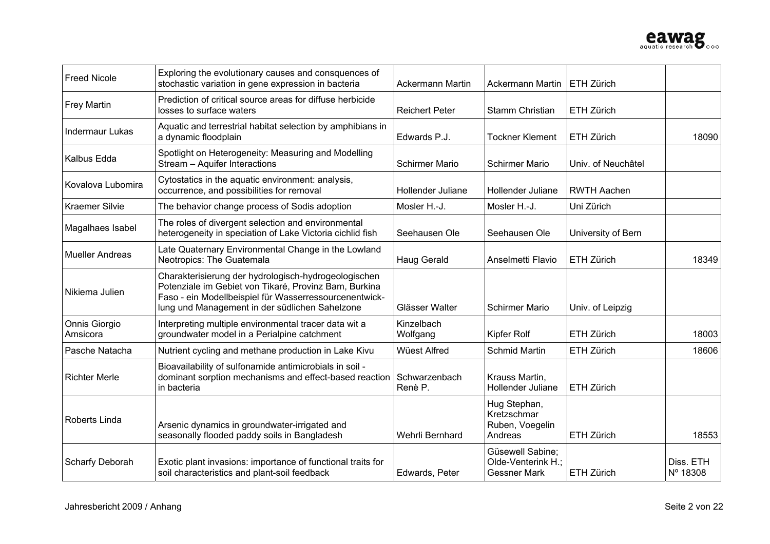

| <b>Freed Nicole</b>       | Exploring the evolutionary causes and consquences of<br>stochastic variation in gene expression in bacteria                                                                                                               | <b>Ackermann Martin</b>  | <b>Ackermann Martin</b>                                       | ETH Zürich         |                       |
|---------------------------|---------------------------------------------------------------------------------------------------------------------------------------------------------------------------------------------------------------------------|--------------------------|---------------------------------------------------------------|--------------------|-----------------------|
| <b>Frey Martin</b>        | Prediction of critical source areas for diffuse herbicide<br>losses to surface waters                                                                                                                                     | <b>Reichert Peter</b>    | <b>Stamm Christian</b>                                        | <b>ETH Zürich</b>  |                       |
| <b>Indermaur Lukas</b>    | Aquatic and terrestrial habitat selection by amphibians in<br>a dynamic floodplain                                                                                                                                        | Edwards P.J.             | <b>Tockner Klement</b>                                        | ETH Zürich         | 18090                 |
| Kalbus Edda               | Spotlight on Heterogeneity: Measuring and Modelling<br>Stream - Aquifer Interactions                                                                                                                                      | <b>Schirmer Mario</b>    | <b>Schirmer Mario</b>                                         | Univ. of Neuchâtel |                       |
| Kovalova Lubomira         | Cytostatics in the aquatic environment: analysis,<br>occurrence, and possibilities for removal                                                                                                                            | Hollender Juliane        | Hollender Juliane                                             | <b>RWTH Aachen</b> |                       |
| <b>Kraemer Silvie</b>     | The behavior change process of Sodis adoption                                                                                                                                                                             | Mosler H.-J.             | Mosler H.-J.                                                  | Uni Zürich         |                       |
| Magalhaes Isabel          | The roles of divergent selection and environmental<br>heterogeneity in speciation of Lake Victoria cichlid fish                                                                                                           | Seehausen Ole            | Seehausen Ole                                                 | University of Bern |                       |
| <b>Mueller Andreas</b>    | Late Quaternary Environmental Change in the Lowland<br>Neotropics: The Guatemala                                                                                                                                          | <b>Haug Gerald</b>       | Anselmetti Flavio                                             | ETH Zürich         | 18349                 |
| Nikiema Julien            | Charakterisierung der hydrologisch-hydrogeologischen<br>Potenziale im Gebiet von Tikaré, Provinz Bam, Burkina<br>Faso - ein Modellbeispiel für Wasserressourcenentwick-<br>lung und Management in der südlichen Sahelzone | Glässer Walter           | <b>Schirmer Mario</b>                                         | Univ. of Leipzig   |                       |
| Onnis Giorgio<br>Amsicora | Interpreting multiple environmental tracer data wit a<br>groundwater model in a Perialpine catchment                                                                                                                      | Kinzelbach<br>Wolfgang   | Kipfer Rolf                                                   | ETH Zürich         | 18003                 |
| Pasche Natacha            | Nutrient cycling and methane production in Lake Kivu                                                                                                                                                                      | Wüest Alfred             | <b>Schmid Martin</b>                                          | ETH Zürich         | 18606                 |
| <b>Richter Merle</b>      | Bioavailability of sulfonamide antimicrobials in soil -<br>dominant sorption mechanisms and effect-based reaction<br>in bacteria                                                                                          | Schwarzenbach<br>Renè P. | Krauss Martin,<br>Hollender Juliane                           | ETH Zürich         |                       |
| Roberts Linda             | Arsenic dynamics in groundwater-irrigated and<br>seasonally flooded paddy soils in Bangladesh                                                                                                                             | Wehrli Bernhard          | Hug Stephan,<br>Kretzschmar<br>Ruben, Voegelin<br>Andreas     | ETH Zürich         | 18553                 |
| <b>Scharfy Deborah</b>    | Exotic plant invasions: importance of functional traits for<br>soil characteristics and plant-soil feedback                                                                                                               | Edwards, Peter           | Güsewell Sabine;<br>Olde-Venterink H.;<br><b>Gessner Mark</b> | ETH Zürich         | Diss. ETH<br>Nº 18308 |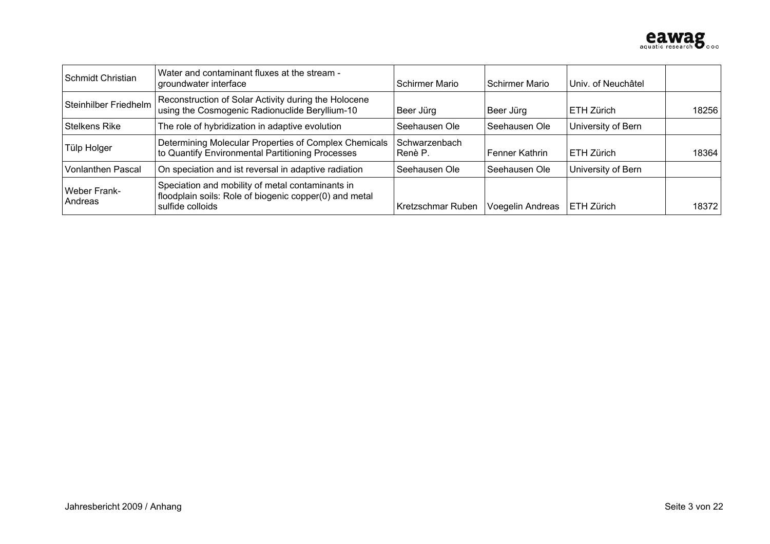

| Schmidt Christian              | Water and contaminant fluxes at the stream -<br>groundwater interface                                                          | <b>Schirmer Mario</b>    | Schirmer Mario   | Univ. of Neuchâtel |       |
|--------------------------------|--------------------------------------------------------------------------------------------------------------------------------|--------------------------|------------------|--------------------|-------|
| Steinhilber Friedhelm          | Reconstruction of Solar Activity during the Holocene<br>using the Cosmogenic Radionuclide Beryllium-10                         | Beer Jürg                | Beer Jürg        | <b>IETH Zürich</b> | 18256 |
| <b>Stelkens Rike</b>           | The role of hybridization in adaptive evolution                                                                                | Seehausen Ole            | Seehausen Ole    | University of Bern |       |
| Tülp Holger                    | Determining Molecular Properties of Complex Chemicals<br>to Quantify Environmental Partitioning Processes                      | Schwarzenbach<br>Renè P. | Fenner Kathrin   | l ETH Zürich       | 18364 |
| <b>Vonlanthen Pascal</b>       | On speciation and ist reversal in adaptive radiation                                                                           | Seehausen Ole            | Seehausen Ole    | University of Bern |       |
| <b>Weber Frank-</b><br>Andreas | Speciation and mobility of metal contaminants in<br>floodplain soils: Role of biogenic copper(0) and metal<br>sulfide colloids | Kretzschmar Ruben        | Voegelin Andreas | l ETH Zürich       | 18372 |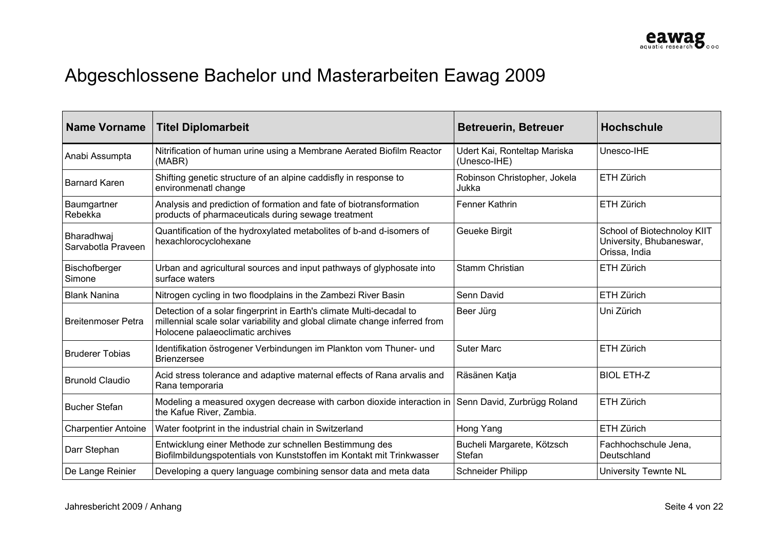# Abgeschlossene Bachelor und Masterarbeiten Eawag 2009

| <b>Name Vorname</b>              | <b>Titel Diplomarbeit</b>                                                                                                                                                              | <b>Betreuerin, Betreuer</b>                  | <b>Hochschule</b>                                                        |
|----------------------------------|----------------------------------------------------------------------------------------------------------------------------------------------------------------------------------------|----------------------------------------------|--------------------------------------------------------------------------|
| Anabi Assumpta                   | Nitrification of human urine using a Membrane Aerated Biofilm Reactor<br>(MABR)                                                                                                        | Udert Kai, Ronteltap Mariska<br>(Unesco-IHE) | Unesco-IHE                                                               |
| <b>Barnard Karen</b>             | Shifting genetic structure of an alpine caddisfly in response to<br>environmenatl change                                                                                               | Robinson Christopher, Jokela<br>Jukka        | ETH Zürich                                                               |
| Baumgartner<br>Rebekka           | Analysis and prediction of formation and fate of biotransformation<br>products of pharmaceuticals during sewage treatment                                                              | Fenner Kathrin                               | ETH Zürich                                                               |
| Bharadhwaj<br>Sarvabotla Praveen | Quantification of the hydroxylated metabolites of b-and d-isomers of<br>hexachlorocyclohexane                                                                                          | Geueke Birgit                                | School of Biotechnoloy KIIT<br>University, Bhubaneswar,<br>Orissa, India |
| Bischofberger<br>Simone          | Urban and agricultural sources and input pathways of glyphosate into<br>surface waters                                                                                                 | Stamm Christian                              | ETH Zürich                                                               |
| <b>Blank Nanina</b>              | Nitrogen cycling in two floodplains in the Zambezi River Basin                                                                                                                         | Senn David                                   | ETH Zürich                                                               |
| <b>Breitenmoser Petra</b>        | Detection of a solar fingerprint in Earth's climate Multi-decadal to<br>millennial scale solar variability and global climate change inferred from<br>Holocene palaeoclimatic archives | Beer Jürg                                    | Uni Zürich                                                               |
| <b>Bruderer Tobias</b>           | Identifikation östrogener Verbindungen im Plankton vom Thuner- und<br><b>Brienzersee</b>                                                                                               | <b>Suter Marc</b>                            | ETH Zürich                                                               |
| <b>Brunold Claudio</b>           | Acid stress tolerance and adaptive maternal effects of Rana arvalis and<br>Rana temporaria                                                                                             | Räsänen Katja                                | <b>BIOL ETH-Z</b>                                                        |
| <b>Bucher Stefan</b>             | Modeling a measured oxygen decrease with carbon dioxide interaction in<br>the Kafue River, Zambia.                                                                                     | Senn David, Zurbrügg Roland                  | ETH Zürich                                                               |
| <b>Charpentier Antoine</b>       | Water footprint in the industrial chain in Switzerland                                                                                                                                 | Hong Yang                                    | ETH Zürich                                                               |
| Darr Stephan                     | Entwicklung einer Methode zur schnellen Bestimmung des<br>Biofilmbildungspotentials von Kunststoffen im Kontakt mit Trinkwasser                                                        | Bucheli Margarete, Kötzsch<br><b>Stefan</b>  | Fachhochschule Jena,<br>Deutschland                                      |
| De Lange Reinier                 | Developing a query language combining sensor data and meta data                                                                                                                        | <b>Schneider Philipp</b>                     | University Tewnte NL                                                     |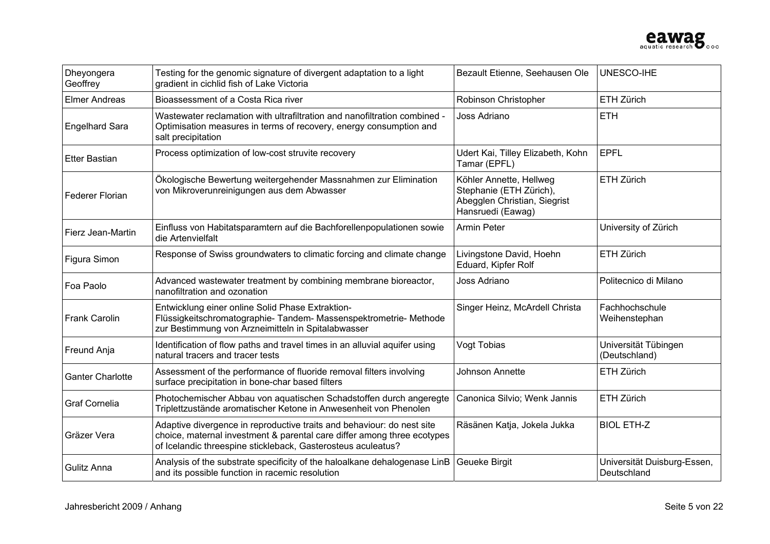

| Dheyongera<br>Geoffrey  | Testing for the genomic signature of divergent adaptation to a light<br>gradient in cichlid fish of Lake Victoria                                                                                                 | Bezault Etienne, Seehausen Ole                                                                          | UNESCO-IHE                                 |
|-------------------------|-------------------------------------------------------------------------------------------------------------------------------------------------------------------------------------------------------------------|---------------------------------------------------------------------------------------------------------|--------------------------------------------|
| Elmer Andreas           | Bioassessment of a Costa Rica river                                                                                                                                                                               | Robinson Christopher                                                                                    | ETH Zürich                                 |
| <b>Engelhard Sara</b>   | Wastewater reclamation with ultrafiltration and nanofiltration combined -<br>Optimisation measures in terms of recovery, energy consumption and<br>salt precipitation                                             | Joss Adriano                                                                                            | <b>ETH</b>                                 |
| <b>Etter Bastian</b>    | Process optimization of low-cost struvite recovery                                                                                                                                                                | Udert Kai, Tilley Elizabeth, Kohn<br>Tamar (EPFL)                                                       | <b>EPFL</b>                                |
| <b>Federer Florian</b>  | Ökologische Bewertung weitergehender Massnahmen zur Elimination<br>von Mikroverunreinigungen aus dem Abwasser                                                                                                     | Köhler Annette, Hellweg<br>Stephanie (ETH Zürich),<br>Abegglen Christian, Siegrist<br>Hansruedi (Eawag) | ETH Zürich                                 |
| Fierz Jean-Martin       | Einfluss von Habitatsparamtern auf die Bachforellenpopulationen sowie<br>die Artenvielfalt                                                                                                                        | Armin Peter                                                                                             | University of Zürich                       |
| Figura Simon            | Response of Swiss groundwaters to climatic forcing and climate change                                                                                                                                             | Livingstone David, Hoehn<br>Eduard, Kipfer Rolf                                                         | ETH Zürich                                 |
| Foa Paolo               | Advanced wastewater treatment by combining membrane bioreactor,<br>nanofiltration and ozonation                                                                                                                   | Joss Adriano                                                                                            | Politecnico di Milano                      |
| <b>Frank Carolin</b>    | Entwicklung einer online Solid Phase Extraktion-<br>Flüssigkeitschromatographie- Tandem- Massenspektrometrie- Methode<br>zur Bestimmung von Arzneimitteln in Spitalabwasser                                       | Singer Heinz, McArdell Christa                                                                          | Fachhochschule<br>Weihenstephan            |
| Freund Anja             | Identification of flow paths and travel times in an alluvial aquifer using<br>natural tracers and tracer tests                                                                                                    | Vogt Tobias                                                                                             | Universität Tübingen<br>(Deutschland)      |
| <b>Ganter Charlotte</b> | Assessment of the performance of fluoride removal filters involving<br>surface precipitation in bone-char based filters                                                                                           | Johnson Annette                                                                                         | ETH Zürich                                 |
| <b>Graf Cornelia</b>    | Photochemischer Abbau von aquatischen Schadstoffen durch angeregte<br>Triplettzustände aromatischer Ketone in Anwesenheit von Phenolen                                                                            | Canonica Silvio; Wenk Jannis                                                                            | ETH Zürich                                 |
| Gräzer Vera             | Adaptive divergence in reproductive traits and behaviour: do nest site<br>choice, maternal investment & parental care differ among three ecotypes<br>of Icelandic threespine stickleback, Gasterosteus aculeatus? | Räsänen Katja, Jokela Jukka                                                                             | <b>BIOL ETH-Z</b>                          |
| Gulitz Anna             | Analysis of the substrate specificity of the haloalkane dehalogenase LinB<br>and its possible function in racemic resolution                                                                                      | <b>Geueke Birgit</b>                                                                                    | Universität Duisburg-Essen,<br>Deutschland |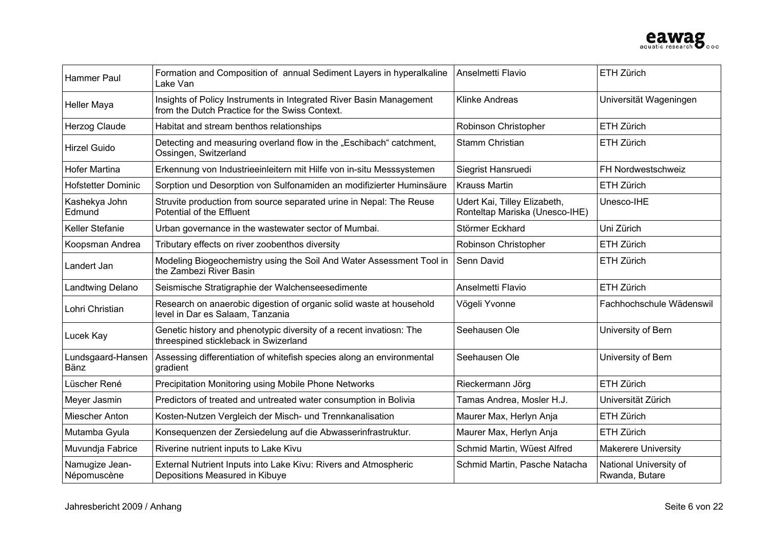

| <b>Hammer Paul</b>            | Formation and Composition of annual Sediment Layers in hyperalkaline<br>Lake Van                                      | Anselmetti Flavio                                              | ETH Zürich                               |
|-------------------------------|-----------------------------------------------------------------------------------------------------------------------|----------------------------------------------------------------|------------------------------------------|
| <b>Heller Maya</b>            | Insights of Policy Instruments in Integrated River Basin Management<br>from the Dutch Practice for the Swiss Context. | <b>Klinke Andreas</b>                                          | Universität Wageningen                   |
| Herzog Claude                 | Habitat and stream benthos relationships                                                                              | Robinson Christopher                                           | <b>ETH Zürich</b>                        |
| Hirzel Guido                  | Detecting and measuring overland flow in the "Eschibach" catchment,<br>Ossingen, Switzerland                          | Stamm Christian                                                | ETH Zürich                               |
| <b>Hofer Martina</b>          | Erkennung von Industrieeinleitern mit Hilfe von in-situ Messsystemen                                                  | Siegrist Hansruedi                                             | FH Nordwestschweiz                       |
| <b>Hofstetter Dominic</b>     | Sorption und Desorption von Sulfonamiden an modifizierter Huminsäure                                                  | <b>Krauss Martin</b>                                           | ETH Zürich                               |
| Kashekya John<br>Edmund       | Struvite production from source separated urine in Nepal: The Reuse<br>Potential of the Effluent                      | Udert Kai, Tilley Elizabeth,<br>Ronteltap Mariska (Unesco-IHE) | Unesco-IHE                               |
| Keller Stefanie               | Urban governance in the wastewater sector of Mumbai.                                                                  | Störmer Eckhard                                                | Uni Zürich                               |
| Koopsman Andrea               | Tributary effects on river zoobenthos diversity                                                                       | Robinson Christopher                                           | ETH Zürich                               |
| Landert Jan                   | Modeling Biogeochemistry using the Soil And Water Assessment Tool in<br>the Zambezi River Basin                       | Senn David                                                     | ETH Zürich                               |
| Landtwing Delano              | Seismische Stratigraphie der Walchenseesedimente                                                                      | Anselmetti Flavio                                              | ETH Zürich                               |
| Lohri Christian               | Research on anaerobic digestion of organic solid waste at household<br>level in Dar es Salaam, Tanzania               | Vögeli Yvonne                                                  | Fachhochschule Wädenswil                 |
| Lucek Kay                     | Genetic history and phenotypic diversity of a recent invatiosn: The<br>threespined stickleback in Swizerland          | Seehausen Ole                                                  | University of Bern                       |
| Lundsgaard-Hansen<br>Bänz     | Assessing differentiation of whitefish species along an environmental<br>gradient                                     | Seehausen Ole                                                  | University of Bern                       |
| Lüscher René                  | Precipitation Monitoring using Mobile Phone Networks                                                                  | Rieckermann Jörg                                               | ETH Zürich                               |
| Meyer Jasmin                  | Predictors of treated and untreated water consumption in Bolivia                                                      | Tamas Andrea, Mosler H.J.                                      | Universität Zürich                       |
| Miescher Anton                | Kosten-Nutzen Vergleich der Misch- und Trennkanalisation                                                              | Maurer Max, Herlyn Anja                                        | ETH Zürich                               |
| Mutamba Gyula                 | Konsequenzen der Zersiedelung auf die Abwasserinfrastruktur.                                                          | Maurer Max, Herlyn Anja                                        | ETH Zürich                               |
| Muvundja Fabrice              | Riverine nutrient inputs to Lake Kivu                                                                                 | Schmid Martin, Wüest Alfred                                    | <b>Makerere University</b>               |
| Namugize Jean-<br>Népomuscène | External Nutrient Inputs into Lake Kivu: Rivers and Atmospheric<br>Depositions Measured in Kibuye                     | Schmid Martin, Pasche Natacha                                  | National University of<br>Rwanda, Butare |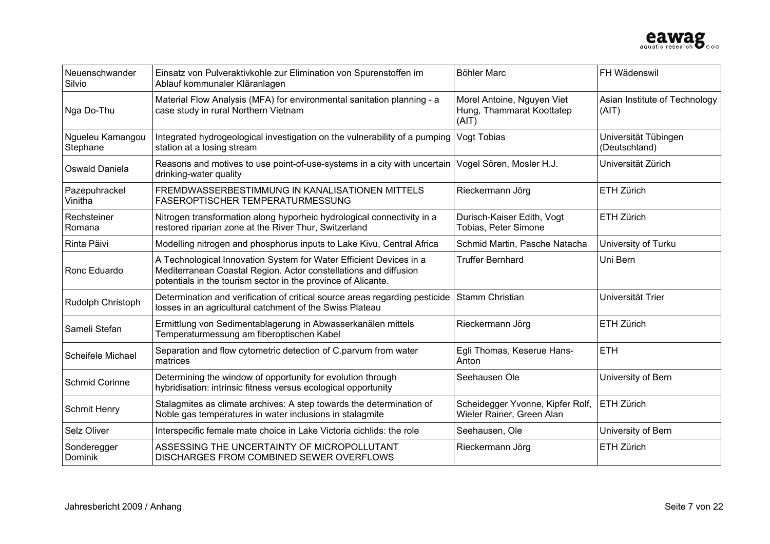

| Neuenschwander<br>Silvio     | Einsatz von Pulveraktivkohle zur Elimination von Spurenstoffen im<br>Ablauf kommunaler Kläranlagen                                                                                                      | <b>Böhler Marc</b>                                               | FH Wädenswil                           |
|------------------------------|---------------------------------------------------------------------------------------------------------------------------------------------------------------------------------------------------------|------------------------------------------------------------------|----------------------------------------|
| Nga Do-Thu                   | Material Flow Analysis (MFA) for environmental sanitation planning - a<br>case study in rural Northern Vietnam                                                                                          | Morel Antoine, Nguyen Viet<br>Hung, Thammarat Koottatep<br>(AIT) | Asian Institute of Technology<br>(AIT) |
| Ngueleu Kamangou<br>Stephane | Integrated hydrogeological investigation on the vulnerability of a pumping<br>station at a losing stream                                                                                                | Vogt Tobias                                                      | Universität Tübingen<br>(Deutschland)  |
| Oswald Daniela               | Reasons and motives to use point-of-use-systems in a city with uncertain<br>drinking-water quality                                                                                                      | Vogel Sören, Mosler H.J.                                         | Universität Zürich                     |
| Pazepuhrackel<br>Vinitha     | FREMDWASSERBESTIMMUNG IN KANALISATIONEN MITTELS<br><b>FASEROPTISCHER TEMPERATURMESSUNG</b>                                                                                                              | Rieckermann Jörg                                                 | ETH Zürich                             |
| Rechsteiner<br>Romana        | Nitrogen transformation along hyporheic hydrological connectivity in a<br>restored riparian zone at the River Thur, Switzerland                                                                         | Durisch-Kaiser Edith, Vogt<br>Tobias, Peter Simone               | ETH Zürich                             |
| Rinta Päivi                  | Modelling nitrogen and phosphorus inputs to Lake Kivu, Central Africa                                                                                                                                   | Schmid Martin, Pasche Natacha                                    | University of Turku                    |
| Ronc Eduardo                 | A Technological Innovation System for Water Efficient Devices in a<br>Mediterranean Coastal Region. Actor constellations and diffusion<br>potentials in the tourism sector in the province of Alicante. | <b>Truffer Bernhard</b>                                          | Uni Bern                               |
| Rudolph Christoph            | Determination and verification of critical source areas regarding pesticide<br>losses in an agricultural catchment of the Swiss Plateau                                                                 | <b>Stamm Christian</b>                                           | Universität Trier                      |
| Sameli Stefan                | Ermittlung von Sedimentablagerung in Abwasserkanälen mittels<br>Temperaturmessung am fiberoptischen Kabel                                                                                               | Rieckermann Jörg                                                 | ETH Zürich                             |
| Scheifele Michael            | Separation and flow cytometric detection of C.parvum from water<br>matrices                                                                                                                             | Egli Thomas, Keserue Hans-<br>Anton                              | <b>ETH</b>                             |
| <b>Schmid Corinne</b>        | Determining the window of opportunity for evolution through<br>hybridisation: intrinsic fitness versus ecological opportunity                                                                           | Seehausen Ole                                                    | University of Bern                     |
| <b>Schmit Henry</b>          | Stalagmites as climate archives: A step towards the determination of<br>Noble gas temperatures in water inclusions in stalagmite                                                                        | Scheidegger Yvonne, Kipfer Rolf,<br>Wieler Rainer, Green Alan    | ETH Zürich                             |
| Selz Oliver                  | Interspecific female mate choice in Lake Victoria cichlids: the role                                                                                                                                    | Seehausen, Ole                                                   | University of Bern                     |
| Sonderegger<br>Dominik       | ASSESSING THE UNCERTAINTY OF MICROPOLLUTANT<br>DISCHARGES FROM COMBINED SEWER OVERFLOWS                                                                                                                 | Rieckermann Jörg                                                 | ETH Zürich                             |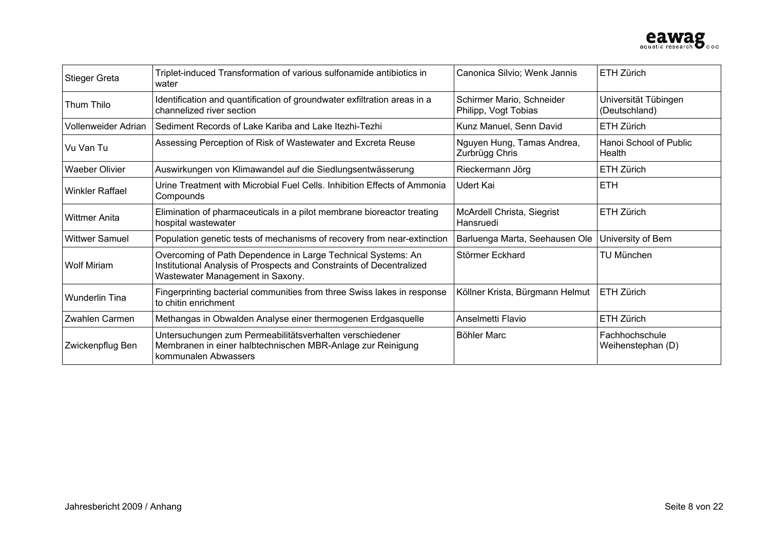

| Stieger Greta                                                                               | Triplet-induced Transformation of various sulfonamide antibiotics in<br>water                                                                                            | Canonica Silvio; Wenk Jannis                      | ETH Zürich                            |
|---------------------------------------------------------------------------------------------|--------------------------------------------------------------------------------------------------------------------------------------------------------------------------|---------------------------------------------------|---------------------------------------|
| <b>Thum Thilo</b>                                                                           | Identification and quantification of groundwater exfiltration areas in a<br>channelized river section                                                                    | Schirmer Mario, Schneider<br>Philipp, Vogt Tobias | Universität Tübingen<br>(Deutschland) |
| Vollenweider Adrian                                                                         | Sediment Records of Lake Kariba and Lake Itezhi-Tezhi                                                                                                                    | Kunz Manuel, Senn David                           | ETH Zürich                            |
| Assessing Perception of Risk of Wastewater and Excreta Reuse<br>Vu Van Tu<br>Zurbrügg Chris |                                                                                                                                                                          | Nguyen Hung, Tamas Andrea,                        | Hanoi School of Public<br>Health      |
| <b>Waeber Olivier</b>                                                                       | Auswirkungen von Klimawandel auf die Siedlungsentwässerung                                                                                                               | Rieckermann Jörg                                  | ETH Zürich                            |
| <b>Winkler Raffael</b>                                                                      | Urine Treatment with Microbial Fuel Cells. Inhibition Effects of Ammonia<br>Compounds                                                                                    | Udert Kai                                         | <b>ETH</b>                            |
| <b>Wittmer Anita</b>                                                                        | Elimination of pharmaceuticals in a pilot membrane bioreactor treating<br>hospital wastewater                                                                            | McArdell Christa, Siegrist<br>Hansruedi           | ETH Zürich                            |
| <b>Wittwer Samuel</b>                                                                       | Population genetic tests of mechanisms of recovery from near-extinction                                                                                                  | Barluenga Marta, Seehausen Ole                    | University of Bern                    |
| <b>Wolf Miriam</b>                                                                          | Overcoming of Path Dependence in Large Technical Systems: An<br>Institutional Analysis of Prospects and Constraints of Decentralized<br>Wastewater Management in Saxony. | Störmer Eckhard                                   | <b>TU München</b>                     |
| <b>Wunderlin Tina</b>                                                                       | Fingerprinting bacterial communities from three Swiss lakes in response<br>to chitin enrichment                                                                          | Köllner Krista, Bürgmann Helmut                   | ETH Zürich                            |
| Zwahlen Carmen                                                                              | Methangas in Obwalden Analyse einer thermogenen Erdgasquelle                                                                                                             | Anselmetti Flavio                                 | ETH Zürich                            |
| Zwickenpflug Ben                                                                            | Untersuchungen zum Permeabilitätsverhalten verschiedener<br>Membranen in einer halbtechnischen MBR-Anlage zur Reinigung<br>kommunalen Abwassers                          | Böhler Marc                                       | Fachhochschule<br>Weihenstephan (D)   |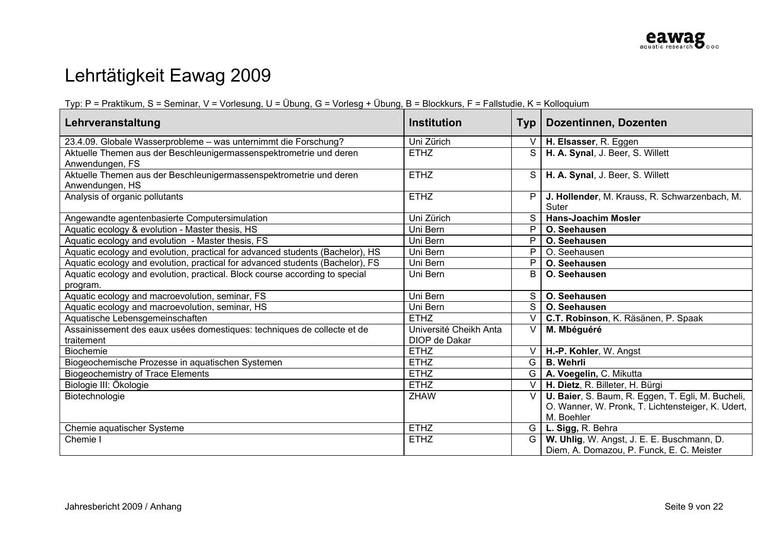# Lehrtätigkeit Eawag 2009

#### Typ: P = Praktikum, S = Seminar, V = Vorlesung, U = Übung, G = Vorlesg + Übung, B = Blockkurs, F = Fallstudie, K = Kolloquium

| Lehrveranstaltung                                                                       | <b>Institution</b>                      | <b>Typ</b>     | Dozentinnen, Dozenten                                                                                                |
|-----------------------------------------------------------------------------------------|-----------------------------------------|----------------|----------------------------------------------------------------------------------------------------------------------|
| 23.4.09. Globale Wasserprobleme - was unternimmt die Forschung?                         | Uni Zürich                              | $\vee$         | H. Elsasser, R. Eggen                                                                                                |
| Aktuelle Themen aus der Beschleunigermassenspektrometrie und deren<br>Anwendungen, FS   | <b>ETHZ</b>                             | S              | H. A. Synal, J. Beer, S. Willett                                                                                     |
| Aktuelle Themen aus der Beschleunigermassenspektrometrie und deren<br>Anwendungen, HS   | <b>ETHZ</b>                             | S.             | H. A. Synal, J. Beer, S. Willett                                                                                     |
| Analysis of organic pollutants                                                          | <b>ETHZ</b>                             | P.             | J. Hollender, M. Krauss, R. Schwarzenbach, M.<br>Suter                                                               |
| Angewandte agentenbasierte Computersimulation                                           | Uni Zürich                              | S.             | <b>Hans-Joachim Mosler</b>                                                                                           |
| Aquatic ecology & evolution - Master thesis, HS                                         | Uni Bern                                | P              | O. Seehausen                                                                                                         |
| Aquatic ecology and evolution - Master thesis, FS                                       | Uni Bern                                | P              | O. Seehausen                                                                                                         |
| Aquatic ecology and evolution, practical for advanced students (Bachelor), HS           | Uni Bern                                | P              | O. Seehausen                                                                                                         |
| Aquatic ecology and evolution, practical for advanced students (Bachelor), FS           | Uni Bern                                | P              | O. Seehausen                                                                                                         |
| Aquatic ecology and evolution, practical. Block course according to special<br>program. | Uni Bern                                | B              | O. Seehausen                                                                                                         |
| Aquatic ecology and macroevolution, seminar, FS                                         | Uni Bern                                | $S \mid$       | O. Seehausen                                                                                                         |
| Aquatic ecology and macroevolution, seminar, HS                                         | Uni Bern                                | $\overline{S}$ | O. Seehausen                                                                                                         |
| Aquatische Lebensgemeinschaften                                                         | <b>ETHZ</b>                             | V.             | C.T. Robinson, K. Räsänen, P. Spaak                                                                                  |
| Assainissement des eaux usées domestiques: techniques de collecte et de<br>traitement   | Université Cheikh Anta<br>DIOP de Dakar | V              | M. Mbéguéré                                                                                                          |
| <b>Biochemie</b>                                                                        | <b>ETHZ</b>                             | V l            | H.-P. Kohler, W. Angst                                                                                               |
| Biogeochemische Prozesse in aquatischen Systemen                                        | <b>ETHZ</b>                             | G              | <b>B.</b> Wehrli                                                                                                     |
| <b>Biogeochemistry of Trace Elements</b>                                                | <b>ETHZ</b>                             | G              | A. Voegelin, C. Mikutta                                                                                              |
| Biologie III: Ökologie                                                                  | <b>ETHZ</b>                             | $\vee$         | H. Dietz, R. Billeter, H. Bürgi                                                                                      |
| Biotechnologie                                                                          | <b>ZHAW</b>                             | $\vee$         | U. Baier, S. Baum, R. Eggen, T. Egli, M. Bucheli,<br>O. Wanner, W. Pronk, T. Lichtensteiger, K. Udert,<br>M. Boehler |
| Chemie aquatischer Systeme                                                              | <b>ETHZ</b>                             | G              | L. Sigg, R. Behra                                                                                                    |
| Chemie I                                                                                | <b>ETHZ</b>                             | G              | W. Uhlig, W. Angst, J. E. E. Buschmann, D.<br>Diem, A. Domazou, P. Funck, E. C. Meister                              |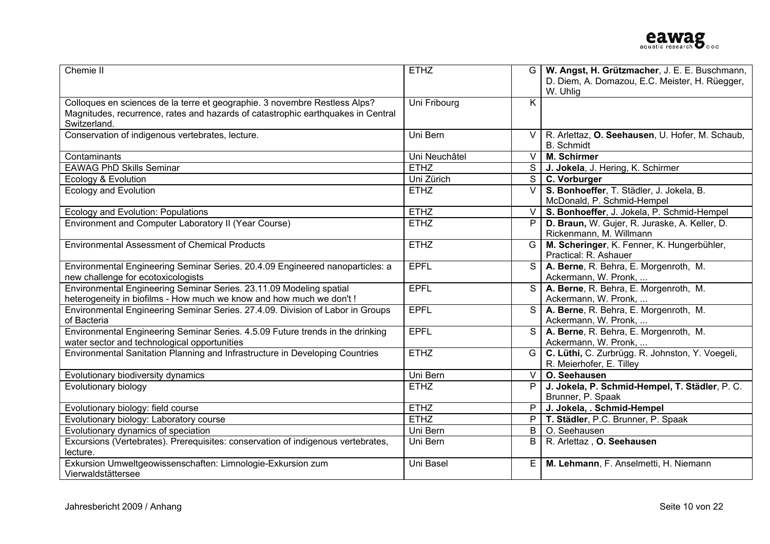| Chemie II                                                                                                                                                                      | <b>ETHZ</b>   | G              | W. Angst, H. Grützmacher, J. E. E. Buschmann,<br>D. Diem, A. Domazou, E.C. Meister, H. Rüegger,<br>W. Uhlig |
|--------------------------------------------------------------------------------------------------------------------------------------------------------------------------------|---------------|----------------|-------------------------------------------------------------------------------------------------------------|
| Colloques en sciences de la terre et geographie. 3 novembre Restless Alps?<br>Magnitudes, recurrence, rates and hazards of catastrophic earthquakes in Central<br>Switzerland. | Uni Fribourg  | K.             |                                                                                                             |
| Conservation of indigenous vertebrates, lecture.                                                                                                                               | Uni Bern      |                | V   R. Arlettaz, O. Seehausen, U. Hofer, M. Schaub,<br><b>B.</b> Schmidt                                    |
| Contaminants                                                                                                                                                                   | Uni Neuchâtel | $\vee$         | M. Schirmer                                                                                                 |
| <b>EAWAG PhD Skills Seminar</b>                                                                                                                                                | <b>ETHZ</b>   |                | S   J. Jokela, J. Hering, K. Schirmer                                                                       |
| Ecology & Evolution                                                                                                                                                            | Uni Zürich    |                | S C. Vorburger                                                                                              |
| <b>Ecology and Evolution</b>                                                                                                                                                   | <b>ETHZ</b>   | $\vee$         | S. Bonhoeffer, T. Städler, J. Jokela, B.<br>McDonald, P. Schmid-Hempel                                      |
| Ecology and Evolution: Populations                                                                                                                                             | <b>ETHZ</b>   |                | V   S. Bonhoeffer, J. Jokela, P. Schmid-Hempel                                                              |
| Environment and Computer Laboratory II (Year Course)                                                                                                                           | <b>ETHZ</b>   | P              | D. Braun, W. Gujer, R. Juraske, A. Keller, D.<br>Rickenmann, M. Willmann                                    |
| <b>Environmental Assessment of Chemical Products</b>                                                                                                                           | <b>ETHZ</b>   |                | G   M. Scheringer, K. Fenner, K. Hungerbühler,<br>Practical: R. Ashauer                                     |
| Environmental Engineering Seminar Series. 20.4.09 Engineered nanoparticles: a<br>new challenge for ecotoxicologists                                                            | <b>EPFL</b>   |                | S   A. Berne, R. Behra, E. Morgenroth, M.<br>Ackermann, W. Pronk,                                           |
| Environmental Engineering Seminar Series. 23.11.09 Modeling spatial<br>heterogeneity in biofilms - How much we know and how much we don't !                                    | <b>EPFL</b>   | S <sub>1</sub> | A. Berne, R. Behra, E. Morgenroth, M.<br>Ackermann, W. Pronk,                                               |
| Environmental Engineering Seminar Series. 27.4.09. Division of Labor in Groups<br>of Bacteria                                                                                  | <b>EPFL</b>   |                | A. Berne, R. Behra, E. Morgenroth, M.<br>Ackermann, W. Pronk,                                               |
| Environmental Engineering Seminar Series. 4.5.09 Future trends in the drinking<br>water sector and technological opportunities                                                 | <b>EPFL</b>   |                | S   A. Berne, R. Behra, E. Morgenroth, M.<br>Ackermann, W. Pronk,                                           |
| Environmental Sanitation Planning and Infrastructure in Developing Countries                                                                                                   | <b>ETHZ</b>   |                | G   C. Lüthi, C. Zurbrügg. R. Johnston, Y. Voegeli,<br>R. Meierhofer, E. Tilley                             |
| Evolutionary biodiversity dynamics                                                                                                                                             | Uni Bern      |                | $V$   O. Seehausen                                                                                          |
| Evolutionary biology                                                                                                                                                           | <b>ETHZ</b>   | P.             | J. Jokela, P. Schmid-Hempel, T. Städler, P. C.<br>Brunner, P. Spaak                                         |
| Evolutionary biology: field course                                                                                                                                             | <b>ETHZ</b>   |                | $P$ J. Jokela, . Schmid-Hempel                                                                              |
| Evolutionary biology: Laboratory course                                                                                                                                        | <b>ETHZ</b>   |                | P   T. Städler, P.C. Brunner, P. Spaak                                                                      |
| Evolutionary dynamics of speciation                                                                                                                                            | Uni Bern      | B              | O. Seehausen                                                                                                |
| Excursions (Vertebrates). Prerequisites: conservation of indigenous vertebrates,<br>lecture.                                                                                   | Uni Bern      |                | B   R. Arlettaz, O. Seehausen                                                                               |
| Exkursion Umweltgeowissenschaften: Limnologie-Exkursion zum<br>Vierwaldstättersee                                                                                              | Uni Basel     | E              | M. Lehmann, F. Anselmetti, H. Niemann                                                                       |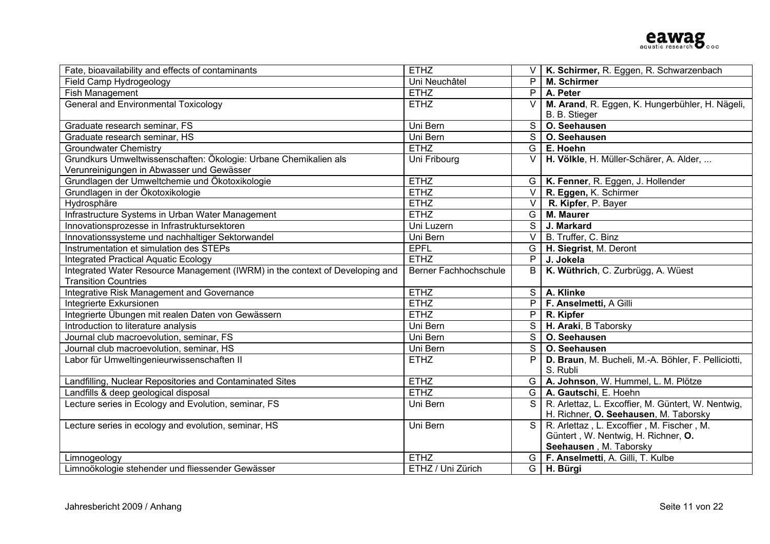| Fate, bioavailability and effects of contaminants                            | <b>ETHZ</b>                  |                | K. Schirmer, R. Eggen, R. Schwarzenbach             |
|------------------------------------------------------------------------------|------------------------------|----------------|-----------------------------------------------------|
| Field Camp Hydrogeology                                                      | Uni Neuchâtel                | P              | <b>M. Schirmer</b>                                  |
| Fish Management                                                              | <b>ETHZ</b>                  | P              | A. Peter                                            |
| <b>General and Environmental Toxicology</b>                                  | <b>ETHZ</b>                  | $\vee$         | M. Arand, R. Eggen, K. Hungerbühler, H. Nägeli,     |
|                                                                              |                              |                | B. B. Stieger                                       |
| Graduate research seminar, FS                                                | Uni Bern                     | S              | O. Seehausen                                        |
| Graduate research seminar, HS                                                | Uni Bern                     |                | S   O. Seehausen                                    |
| <b>Groundwater Chemistry</b>                                                 | <b>ETHZ</b>                  |                | $G \mid E$ . Hoehn                                  |
| Grundkurs Umweltwissenschaften: Ökologie: Urbane Chemikalien als             | Uni Fribourg                 | V <sub>1</sub> | H. Völkle, H. Müller-Schärer, A. Alder,             |
| Verunreinigungen in Abwasser und Gewässer                                    |                              |                |                                                     |
| Grundlagen der Umweltchemie und Ökotoxikologie                               | <b>ETHZ</b>                  |                | G   K. Fenner, R. Eggen, J. Hollender               |
| Grundlagen in der Ökotoxikologie                                             | <b>ETHZ</b>                  |                | $\overline{V \mid R}$ . Eggen, K. Schirmer          |
| Hydrosphäre                                                                  | <b>ETHZ</b>                  |                | $\overline{\vee}$ <b>R. Kipfer</b> , P. Bayer       |
| Infrastructure Systems in Urban Water Management                             | <b>ETHZ</b>                  |                | G   M. Maurer                                       |
| Innovationsprozesse in Infrastruktursektoren                                 | Uni Luzern                   |                | S J. Markard                                        |
| Innovationssysteme und nachhaltiger Sektorwandel                             | Uni Bern                     |                | $V$ B. Truffer, C. Binz                             |
| Instrumentation et simulation des STEPs                                      | <b>EPFL</b>                  |                | G   H. Siegrist, M. Deront                          |
| <b>Integrated Practical Aquatic Ecology</b>                                  | <b>ETHZ</b>                  | $\overline{P}$ | J. Jokela                                           |
| Integrated Water Resource Management (IWRM) in the context of Developing and | <b>Berner Fachhochschule</b> | B              | K. Wüthrich, C. Zurbrügg, A. Wüest                  |
| <b>Transition Countries</b>                                                  |                              |                |                                                     |
| Integrative Risk Management and Governance                                   | <b>ETHZ</b>                  |                | S   A. Klinke                                       |
| Integrierte Exkursionen                                                      | <b>ETHZ</b>                  |                | P   F. Anselmetti, A Gilli                          |
| Integrierte Übungen mit realen Daten von Gewässern                           | <b>ETHZ</b>                  |                | $\overline{P}$ R. Kipfer                            |
| Introduction to literature analysis                                          | Uni Bern                     |                | $\overline{S}$ H. Araki, B Taborsky                 |
| Journal club macroevolution, seminar, FS                                     | Uni Bern                     |                | S   O. Seehausen                                    |
| Journal club macroevolution, seminar, HS                                     | Uni Bern                     |                | S   O. Seehausen                                    |
| Labor für Umweltingenieurwissenschaften II                                   | <b>ETHZ</b>                  | P              | D. Braun, M. Bucheli, M.-A. Böhler, F. Pelliciotti, |
|                                                                              |                              |                | S. Rubli                                            |
| Landfilling, Nuclear Repositories and Contaminated Sites                     | <b>ETHZ</b>                  |                | G   A. Johnson, W. Hummel, L. M. Plötze             |
| Landfills & deep geological disposal                                         | <b>ETHZ</b>                  |                | G   A. Gautschi, E. Hoehn                           |
| Lecture series in Ecology and Evolution, seminar, FS                         | Uni Bern                     | $\overline{s}$ | R. Arlettaz, L. Excoffier, M. Güntert, W. Nentwig,  |
|                                                                              |                              |                | H. Richner, O. Seehausen, M. Taborsky               |
| Lecture series in ecology and evolution, seminar, HS                         | Uni Bern                     | $\overline{s}$ | R. Arlettaz, L. Excoffier, M. Fischer, M.           |
|                                                                              |                              |                | Güntert, W. Nentwig, H. Richner, O.                 |
|                                                                              |                              |                | Seehausen, M. Taborsky                              |
| Limnogeology                                                                 | <b>ETHZ</b>                  |                | G   F. Anselmetti, A. Gilli, T. Kulbe               |
| Limnoökologie stehender und fliessender Gewässer                             | ETHZ / Uni Zürich            |                | $G$ H. Bürgi                                        |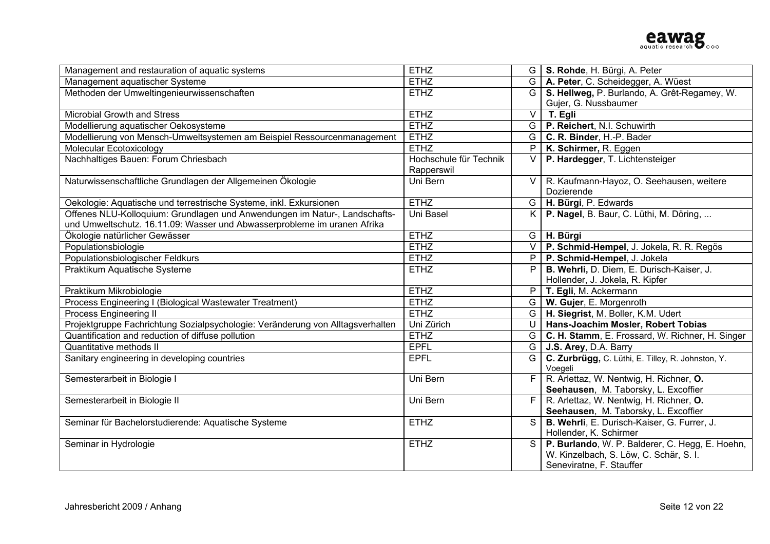| Management and restauration of aquatic systems                                 | <b>ETHZ</b>            |                | G   S. Rohde, H. Bürgi, A. Peter                    |
|--------------------------------------------------------------------------------|------------------------|----------------|-----------------------------------------------------|
| Management aquatischer Systeme                                                 | <b>ETHZ</b>            |                | G   A. Peter, C. Scheidegger, A. Wüest              |
| Methoden der Umweltingenieurwissenschaften                                     | <b>ETHZ</b>            | G              | S. Hellweg, P. Burlando, A. Grêt-Regamey, W.        |
|                                                                                |                        |                | Gujer, G. Nussbaumer                                |
| Microbial Growth and Stress                                                    | <b>ETHZ</b>            | $\vee$         | T. Egli                                             |
| Modellierung aquatischer Oekosysteme                                           | <b>ETHZ</b>            |                | G   P. Reichert, N.I. Schuwirth                     |
| Modellierung von Mensch-Umweltsystemen am Beispiel Ressourcenmanagement        | <b>ETHZ</b>            |                | $G \mid C$ . R. Binder, H.-P. Bader                 |
| Molecular Ecotoxicology                                                        | <b>ETHZ</b>            | P              | K. Schirmer, R. Eggen                               |
| Nachhaltiges Bauen: Forum Chriesbach                                           | Hochschule für Technik | $\vee$         | P. Hardegger, T. Lichtensteiger                     |
|                                                                                | Rapperswil             |                |                                                     |
| Naturwissenschaftliche Grundlagen der Allgemeinen Ökologie                     | Uni Bern               | $\vee$         | R. Kaufmann-Hayoz, O. Seehausen, weitere            |
|                                                                                |                        |                | Dozierende                                          |
| Oekologie: Aquatische und terrestrische Systeme, inkl. Exkursionen             | <b>ETHZ</b>            |                | G   H. Bürgi, P. Edwards                            |
| Offenes NLU-Kolloquium: Grundlagen und Anwendungen im Natur-, Landschafts-     | Uni Basel              |                | K   P. Nagel, B. Baur, C. Lüthi, M. Döring,         |
| und Umweltschutz. 16.11.09: Wasser und Abwasserprobleme im uranen Afrika       |                        |                |                                                     |
| Ökologie natürlicher Gewässer                                                  | <b>ETHZ</b>            |                | $G$   H. Bürgi                                      |
| Populationsbiologie                                                            | <b>ETHZ</b>            |                | V   P. Schmid-Hempel, J. Jokela, R. R. Regös        |
| Populationsbiologischer Feldkurs                                               | <b>ETHZ</b>            |                | $P$   P. Schmid-Hempel, J. Jokela                   |
| Praktikum Aquatische Systeme                                                   | <b>ETHZ</b>            | P              | B. Wehrli, D. Diem, E. Durisch-Kaiser, J.           |
|                                                                                |                        |                | Hollender, J. Jokela, R. Kipfer                     |
| Praktikum Mikrobiologie                                                        | <b>ETHZ</b>            |                | $P$   T. Egli, M. Ackermann                         |
| Process Engineering I (Biological Wastewater Treatment)                        | <b>ETHZ</b>            | G              | W. Gujer, E. Morgenroth                             |
| Process Engineering II                                                         | <b>ETHZ</b>            |                | G   H. Siegrist, M. Boller, K.M. Udert              |
| Projektgruppe Fachrichtung Sozialpsychologie: Veränderung von Alltagsverhalten | Uni Zürich             | $\cup$         | Hans-Joachim Mosler, Robert Tobias                  |
| Quantification and reduction of diffuse pollution                              | <b>ETHZ</b>            |                | G   C. H. Stamm, E. Frossard, W. Richner, H. Singer |
| Quantitative methods II                                                        | <b>EPFL</b>            | G              | J.S. Arey, D.A. Barry                               |
| Sanitary engineering in developing countries                                   | <b>EPFL</b>            | G              | C. Zurbrügg, C. Lüthi, E. Tilley, R. Johnston, Y.   |
|                                                                                |                        |                | Voegeli                                             |
| Semesterarbeit in Biologie I                                                   | Uni Bern               | F              | R. Arlettaz, W. Nentwig, H. Richner, O.             |
|                                                                                |                        |                | Seehausen, M. Taborsky, L. Excoffier                |
| Semesterarbeit in Biologie II                                                  | Uni Bern               | F <sub>1</sub> | R. Arlettaz, W. Nentwig, H. Richner, O.             |
|                                                                                |                        |                | Seehausen, M. Taborsky, L. Excoffier                |
| Seminar für Bachelorstudierende: Aquatische Systeme                            | <b>ETHZ</b>            | S              | B. Wehrli, E. Durisch-Kaiser, G. Furrer, J.         |
|                                                                                |                        |                | Hollender, K. Schirmer                              |
| Seminar in Hydrologie                                                          | <b>ETHZ</b>            | $\overline{s}$ | P. Burlando, W. P. Balderer, C. Hegg, E. Hoehn,     |
|                                                                                |                        |                | W. Kinzelbach, S. Löw, C. Schär, S. I.              |
|                                                                                |                        |                | Seneviratne, F. Stauffer                            |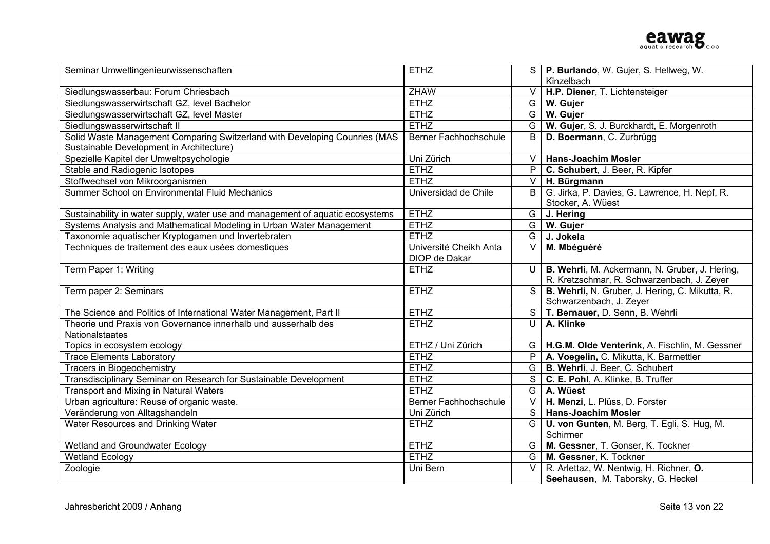| Seminar Umweltingenieurwissenschaften                                          | <b>ETHZ</b>                  |                          | S   P. Burlando, W. Gujer, S. Hellweg, W.          |
|--------------------------------------------------------------------------------|------------------------------|--------------------------|----------------------------------------------------|
|                                                                                |                              |                          | Kinzelbach                                         |
| Siedlungswasserbau: Forum Chriesbach                                           | <b>ZHAW</b>                  |                          | V   H.P. Diener, T. Lichtensteiger                 |
| Siedlungswasserwirtschaft GZ, level Bachelor                                   | <b>ETHZ</b>                  |                          | $G$   W. Gujer                                     |
| Siedlungswasserwirtschaft GZ, level Master                                     | <b>ETHZ</b>                  |                          | G   W. Gujer                                       |
| Siedlungswasserwirtschaft II                                                   | <b>ETHZ</b>                  |                          | G   W. Gujer, S. J. Burckhardt, E. Morgenroth      |
| Solid Waste Management Comparing Switzerland with Developing Counries (MAS     | <b>Berner Fachhochschule</b> | B                        | D. Boermann, C. Zurbrügg                           |
| Sustainable Development in Architecture)                                       |                              |                          |                                                    |
| Spezielle Kapitel der Umweltpsychologie                                        | Uni Zürich                   | $\vee$                   | <b>Hans-Joachim Mosler</b>                         |
| Stable and Radiogenic Isotopes                                                 | <b>ETHZ</b>                  |                          | P C. Schubert, J. Beer, R. Kipfer                  |
| Stoffwechsel von Mikroorganismen                                               | ETHZ                         |                          | V   H. Bürgmann                                    |
| Summer School on Environmental Fluid Mechanics                                 | Universidad de Chile         |                          | B   G. Jirka, P. Davies, G. Lawrence, H. Nepf, R.  |
|                                                                                |                              |                          | Stocker, A. Wüest                                  |
| Sustainability in water supply, water use and management of aquatic ecosystems | <b>ETHZ</b>                  |                          | $\overline{G}$ J. Hering                           |
| Systems Analysis and Mathematical Modeling in Urban Water Management           | <b>ETHZ</b>                  |                          | G   W. Gujer                                       |
| Taxonomie aquatischer Kryptogamen und Invertebraten                            | <b>ETHZ</b>                  |                          | G J. Jokela                                        |
| Techniques de traitement des eaux usées domestiques                            | Université Cheikh Anta       | V.                       | M. Mbéguéré                                        |
|                                                                                | DIOP de Dakar                |                          |                                                    |
| Term Paper 1: Writing                                                          | <b>ETHZ</b>                  | $\cup$                   | B. Wehrli, M. Ackermann, N. Gruber, J. Hering,     |
|                                                                                |                              |                          | R. Kretzschmar, R. Schwarzenbach, J. Zeyer         |
| Term paper 2: Seminars                                                         | <b>ETHZ</b>                  | S <sub>1</sub>           | B. Wehrli, N. Gruber, J. Hering, C. Mikutta, R.    |
|                                                                                |                              |                          | Schwarzenbach, J. Zeyer                            |
| The Science and Politics of International Water Management, Part II            | <b>ETHZ</b>                  |                          | S   T. Bernauer, D. Senn, B. Wehrli                |
| Theorie und Praxis von Governance innerhalb und ausserhalb des                 | <b>ETHZ</b>                  | U                        | A. Klinke                                          |
| Nationalstaates                                                                |                              |                          |                                                    |
| Topics in ecosystem ecology                                                    | ETHZ / Uni Zürich            |                          | G   H.G.M. Olde Venterink, A. Fischlin, M. Gessner |
| <b>Trace Elements Laboratory</b>                                               | <b>ETHZ</b>                  |                          | P   A. Voegelin, C. Mikutta, K. Barmettler         |
| <b>Tracers in Biogeochemistry</b>                                              | <b>ETHZ</b>                  |                          | G   B. Wehrli, J. Beer, C. Schubert                |
| Transdisciplinary Seminar on Research for Sustainable Development              | <b>ETHZ</b>                  |                          | S   C. E. Pohl, A. Klinke, B. Truffer              |
| Transport and Mixing in Natural Waters                                         | <b>ETHZ</b>                  |                          | G   A. Wüest                                       |
| Urban agriculture: Reuse of organic waste.                                     | <b>Berner Fachhochschule</b> | $\leq$                   | H. Menzi, L. Plüss, D. Forster                     |
| Veränderung von Alltagshandeln                                                 | Uni Zürich                   | $\overline{\mathcal{S}}$ | <b>Hans-Joachim Mosler</b>                         |
| Water Resources and Drinking Water                                             | <b>ETHZ</b>                  | G                        | U. von Gunten, M. Berg, T. Egli, S. Hug, M.        |
|                                                                                |                              |                          | Schirmer                                           |
| Wetland and Groundwater Ecology                                                | <b>ETHZ</b>                  |                          | G   M. Gessner, T. Gonser, K. Tockner              |
| <b>Wetland Ecology</b>                                                         | <b>ETHZ</b>                  | G                        | M. Gessner, K. Tockner                             |
| Zoologie                                                                       | Uni Bern                     | $\overline{V}$           | R. Arlettaz, W. Nentwig, H. Richner, O.            |
|                                                                                |                              |                          | Seehausen, M. Taborsky, G. Heckel                  |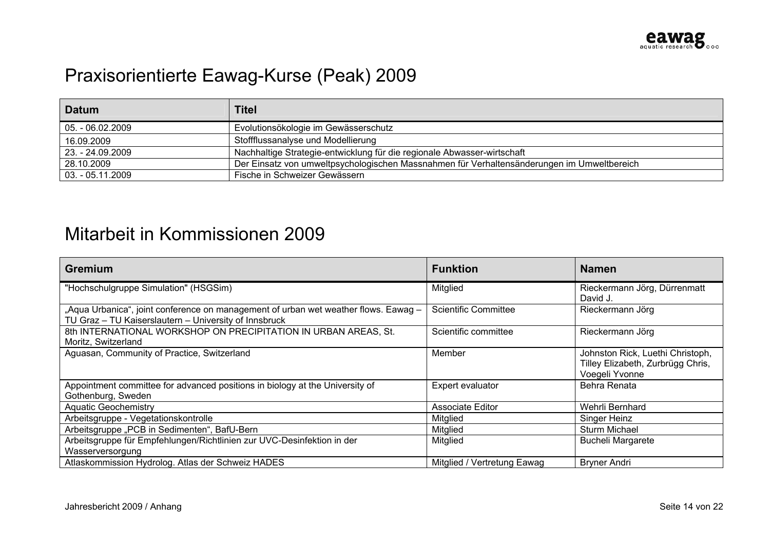# Praxisorientierte Eawag-Kurse (Peak) 2009

| <b>Datum</b>     | <b>Titel</b>                                                                               |
|------------------|--------------------------------------------------------------------------------------------|
| 05. - 06.02.2009 | Evolutionsökologie im Gewässerschutz                                                       |
| 16.09.2009       | Stoffflussanalyse und Modellierung                                                         |
| 23. - 24.09.2009 | Nachhaltige Strategie-entwicklung für die regionale Abwasser-wirtschaft                    |
| 28.10.2009       | Der Einsatz von umweltpsychologischen Massnahmen für Verhaltensänderungen im Umweltbereich |
| 03. - 05.11.2009 | Fische in Schweizer Gewässern                                                              |

#### Mitarbeit in Kommissionen 2009

| <b>Gremium</b>                                                                                                                               | <b>Funktion</b>             | <b>Namen</b>                                                                            |
|----------------------------------------------------------------------------------------------------------------------------------------------|-----------------------------|-----------------------------------------------------------------------------------------|
| "Hochschulgruppe Simulation" (HSGSim)                                                                                                        | Mitglied                    | Rieckermann Jörg, Dürrenmatt<br>David J.                                                |
| "Aqua Urbanica", joint conference on management of urban wet weather flows. Eawag -<br>TU Graz - TU Kaiserslautern - University of Innsbruck | <b>Scientific Committee</b> | Rieckermann Jörg                                                                        |
| 8th INTERNATIONAL WORKSHOP ON PRECIPITATION IN URBAN AREAS, St.<br>Moritz, Switzerland                                                       | Scientific committee        | Rieckermann Jörg                                                                        |
| Aguasan, Community of Practice, Switzerland                                                                                                  | Member                      | Johnston Rick, Luethi Christoph,<br>Tilley Elizabeth, Zurbrügg Chris,<br>Voegeli Yvonne |
| Appointment committee for advanced positions in biology at the University of<br>Gothenburg, Sweden                                           | Expert evaluator            | Behra Renata                                                                            |
| <b>Aquatic Geochemistry</b>                                                                                                                  | <b>Associate Editor</b>     | Wehrli Bernhard                                                                         |
| Arbeitsgruppe - Vegetationskontrolle                                                                                                         | Mitglied                    | Singer Heinz                                                                            |
| Arbeitsgruppe "PCB in Sedimenten", BafU-Bern                                                                                                 | Mitglied                    | <b>Sturm Michael</b>                                                                    |
| Arbeitsgruppe für Empfehlungen/Richtlinien zur UVC-Desinfektion in der<br>Wasserversorgung                                                   | Mitglied                    | <b>Bucheli Margarete</b>                                                                |
| Atlaskommission Hydrolog. Atlas der Schweiz HADES                                                                                            | Mitglied / Vertretung Eawag | <b>Bryner Andri</b>                                                                     |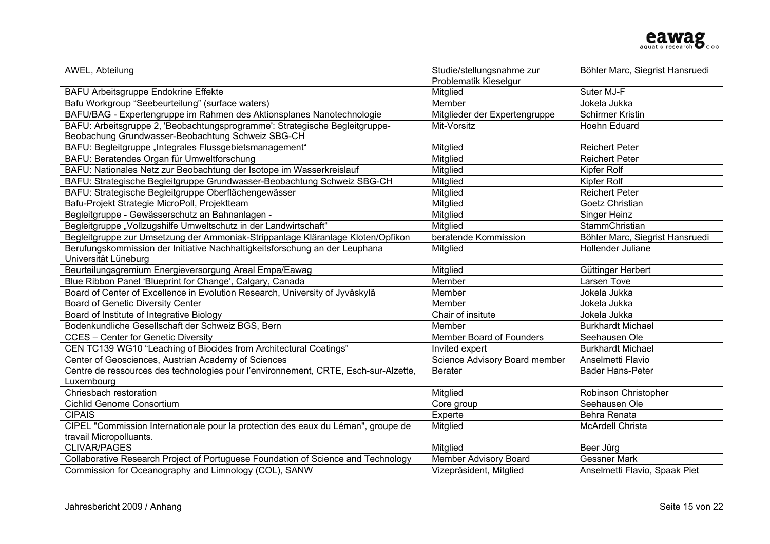

| AWEL, Abteilung                                                                                                                  | Studie/stellungsnahme zur     | Böhler Marc, Siegrist Hansruedi |
|----------------------------------------------------------------------------------------------------------------------------------|-------------------------------|---------------------------------|
|                                                                                                                                  | Problematik Kieselgur         |                                 |
| BAFU Arbeitsgruppe Endokrine Effekte                                                                                             | Mitglied                      | Suter MJ-F                      |
| Bafu Workgroup "Seebeurteilung" (surface waters)                                                                                 | Member                        | Jokela Jukka                    |
| BAFU/BAG - Expertengruppe im Rahmen des Aktionsplanes Nanotechnologie                                                            | Mitglieder der Expertengruppe | <b>Schirmer Kristin</b>         |
| BAFU: Arbeitsgruppe 2, 'Beobachtungsprogramme': Strategische Begleitgruppe-<br>Beobachung Grundwasser-Beobachtung Schweiz SBG-CH | Mit-Vorsitz                   | Hoehn Eduard                    |
| BAFU: Begleitgruppe "Integrales Flussgebietsmanagement"                                                                          | Mitglied                      | <b>Reichert Peter</b>           |
| BAFU: Beratendes Organ für Umweltforschung                                                                                       | Mitglied                      | <b>Reichert Peter</b>           |
| BAFU: Nationales Netz zur Beobachtung der Isotope im Wasserkreislauf                                                             | Mitglied                      | Kipfer Rolf                     |
| BAFU: Strategische Begleitgruppe Grundwasser-Beobachtung Schweiz SBG-CH                                                          | Mitglied                      | Kipfer Rolf                     |
| BAFU: Strategische Begleitgruppe Oberflächengewässer                                                                             | <b>Mitglied</b>               | <b>Reichert Peter</b>           |
| Bafu-Projekt Strategie MicroPoll, Projektteam                                                                                    | Mitglied                      | Goetz Christian                 |
| Begleitgruppe - Gewässerschutz an Bahnanlagen -                                                                                  | Mitglied                      | Singer Heinz                    |
| Begleitgruppe "Vollzugshilfe Umweltschutz in der Landwirtschaft"                                                                 | Mitglied                      | StammChristian                  |
| Begleitgruppe zur Umsetzung der Ammoniak-Strippanlage Kläranlage Kloten/Opfikon                                                  | beratende Kommission          | Böhler Marc, Siegrist Hansruedi |
| Berufungskommission der Initiative Nachhaltigkeitsforschung an der Leuphana                                                      | Mitglied                      | Hollender Juliane               |
| Universität Lüneburg                                                                                                             |                               |                                 |
| Beurteilungsgremium Energieversorgung Areal Empa/Eawag                                                                           | Mitglied                      | Güttinger Herbert               |
| Blue Ribbon Panel 'Blueprint for Change', Calgary, Canada                                                                        | Member                        | Larsen Tove                     |
| Board of Center of Excellence in Evolution Research, University of Jyväskylä                                                     | Member                        | Jokela Jukka                    |
| Board of Genetic Diversity Center                                                                                                | Member                        | Jokela Jukka                    |
| Board of Institute of Integrative Biology                                                                                        | Chair of insitute             | Jokela Jukka                    |
| Bodenkundliche Gesellschaft der Schweiz BGS, Bern                                                                                | Member                        | <b>Burkhardt Michael</b>        |
| <b>CCES</b> - Center for Genetic Diversity                                                                                       | Member Board of Founders      | Seehausen Ole                   |
| CEN TC139 WG10 "Leaching of Biocides from Architectural Coatings"                                                                | Invited expert                | <b>Burkhardt Michael</b>        |
| Center of Geosciences, Austrian Academy of Sciences                                                                              | Science Advisory Board member | Anselmetti Flavio               |
| Centre de ressources des technologies pour l'environnement, CRTE, Esch-sur-Alzette,                                              | <b>Berater</b>                | <b>Bader Hans-Peter</b>         |
| Luxembourg                                                                                                                       |                               |                                 |
| Chriesbach restoration                                                                                                           | Mitglied                      | Robinson Christopher            |
| Cichlid Genome Consortium                                                                                                        | Core group                    | Seehausen Ole                   |
| <b>CIPAIS</b>                                                                                                                    | Experte                       | Behra Renata                    |
| CIPEL "Commission Internationale pour la protection des eaux du Léman", groupe de                                                | Mitglied                      | <b>McArdell Christa</b>         |
| travail Micropolluants.                                                                                                          |                               |                                 |
| <b>CLIVAR/PAGES</b>                                                                                                              | Mitglied                      | Beer Jürg                       |
| Collaborative Research Project of Portuguese Foundation of Science and Technology                                                | Member Advisory Board         | <b>Gessner Mark</b>             |
| Commission for Oceanography and Limnology (COL), SANW                                                                            | Vizepräsident, Mitglied       | Anselmetti Flavio, Spaak Piet   |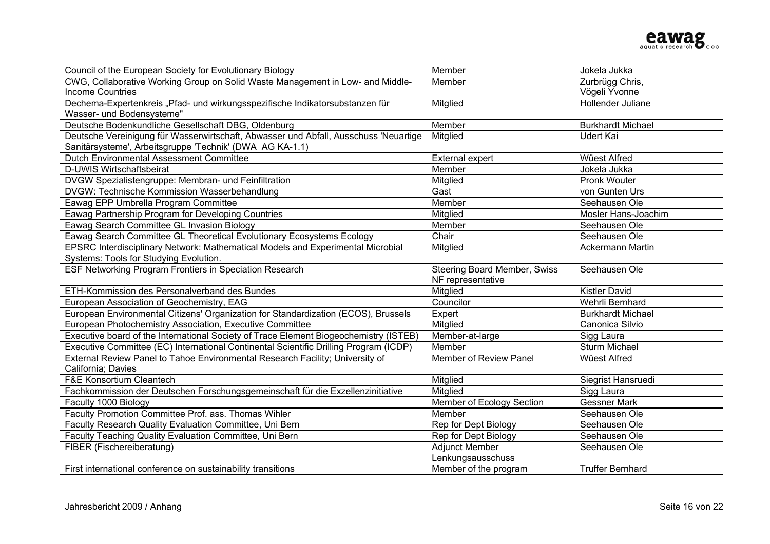| Council of the European Society for Evolutionary Biology                              | Member                       | Jokela Jukka             |
|---------------------------------------------------------------------------------------|------------------------------|--------------------------|
| CWG, Collaborative Working Group on Solid Waste Management in Low- and Middle-        | Member                       | Zurbrügg Chris,          |
| <b>Income Countries</b>                                                               |                              | Vögeli Yvonne            |
| Dechema-Expertenkreis "Pfad- und wirkungsspezifische Indikatorsubstanzen für          | Mitglied                     | Hollender Juliane        |
| Wasser- und Bodensysteme"                                                             |                              |                          |
| Deutsche Bodenkundliche Gesellschaft DBG, Oldenburg                                   | Member                       | <b>Burkhardt Michael</b> |
| Deutsche Vereinigung für Wasserwirtschaft, Abwasser und Abfall, Ausschuss 'Neuartige  | Mitglied                     | <b>Udert Kai</b>         |
| Sanitärsysteme', Arbeitsgruppe 'Technik' (DWA AG KA-1.1)                              |                              |                          |
| <b>Dutch Environmental Assessment Committee</b>                                       | <b>External expert</b>       | <b>Wüest Alfred</b>      |
| D-UWIS Wirtschaftsbeirat                                                              | Member                       | Jokela Jukka             |
| DVGW Spezialistengruppe: Membran- und Feinfiltration                                  | Mitglied                     | Pronk Wouter             |
| DVGW: Technische Kommission Wasserbehandlung                                          | Gast                         | von Gunten Urs           |
| Eawag EPP Umbrella Program Committee                                                  | Member                       | Seehausen Ole            |
| Eawag Partnership Program for Developing Countries                                    | Mitglied                     | Mosler Hans-Joachim      |
| Eawag Search Committee GL Invasion Biology                                            | Member                       | Seehausen Ole            |
| Eawag Search Committee GL Theoretical Evolutionary Ecosystems Ecology                 | Chair                        | Seehausen Ole            |
| EPSRC Interdisciplinary Network: Mathematical Models and Experimental Microbial       | Mitglied                     | Ackermann Martin         |
| Systems: Tools for Studying Evolution.                                                |                              |                          |
| ESF Networking Program Frontiers in Speciation Research                               | Steering Board Member, Swiss | Seehausen Ole            |
|                                                                                       | NF representative            |                          |
| ETH-Kommission des Personalverband des Bundes                                         | Mitglied                     | <b>Kistler David</b>     |
| European Association of Geochemistry, EAG                                             | Councilor                    | Wehrli Bernhard          |
| European Environmental Citizens' Organization for Standardization (ECOS), Brussels    | Expert                       | <b>Burkhardt Michael</b> |
| European Photochemistry Association, Executive Committee                              | Mitglied                     | Canonica Silvio          |
| Executive board of the International Society of Trace Element Biogeochemistry (ISTEB) | Member-at-large              | Sigg Laura               |
| Executive Committee (EC) International Continental Scientific Drilling Program (ICDP) | Member                       | <b>Sturm Michael</b>     |
| External Review Panel to Tahoe Environmental Research Facility; University of         | Member of Review Panel       | <b>Wüest Alfred</b>      |
| California; Davies                                                                    |                              |                          |
| F&E Konsortium Cleantech                                                              | Mitglied                     | Siegrist Hansruedi       |
| Fachkommission der Deutschen Forschungsgemeinschaft für die Exzellenzinitiative       | Mitglied                     | Sigg Laura               |
| Faculty 1000 Biology                                                                  | Member of Ecology Section    | <b>Gessner Mark</b>      |
| Faculty Promotion Committee Prof. ass. Thomas Wihler                                  | Member                       | Seehausen Ole            |
| Faculty Research Quality Evaluation Committee, Uni Bern                               | Rep for Dept Biology         | Seehausen Ole            |
| Faculty Teaching Quality Evaluation Committee, Uni Bern                               | Rep for Dept Biology         | Seehausen Ole            |
| FIBER (Fischereiberatung)                                                             | <b>Adjunct Member</b>        | Seehausen Ole            |
|                                                                                       | Lenkungsausschuss            |                          |
| First international conference on sustainability transitions                          | Member of the program        | <b>Truffer Bernhard</b>  |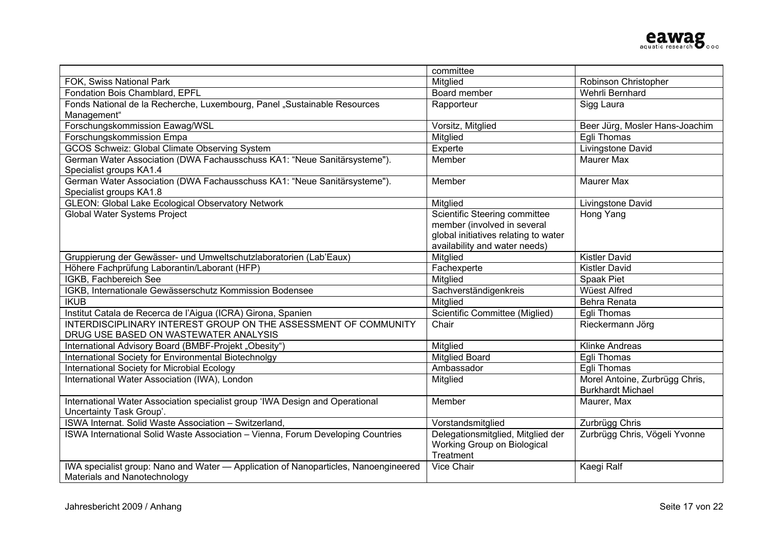

|                                                                                     | committee                            |                                |
|-------------------------------------------------------------------------------------|--------------------------------------|--------------------------------|
| FOK, Swiss National Park                                                            | Mitglied                             | Robinson Christopher           |
| Fondation Bois Chamblard, EPFL                                                      | Board member                         | Wehrli Bernhard                |
| Fonds National de la Recherche, Luxembourg, Panel "Sustainable Resources            | Rapporteur                           | Sigg Laura                     |
| Management"                                                                         |                                      |                                |
| Forschungskommission Eawag/WSL                                                      | Vorsitz, Mitglied                    | Beer Jürg, Mosler Hans-Joachim |
| Forschungskommission Empa                                                           | Mitglied                             | Eqli Thomas                    |
| <b>GCOS Schweiz: Global Climate Observing System</b>                                | Experte                              | Livingstone David              |
| German Water Association (DWA Fachausschuss KA1: "Neue Sanitärsysteme").            | Member                               | <b>Maurer Max</b>              |
| Specialist groups KA1.4                                                             |                                      |                                |
| German Water Association (DWA Fachausschuss KA1: "Neue Sanitärsysteme").            | Member                               | <b>Maurer Max</b>              |
| Specialist groups KA1.8                                                             |                                      |                                |
| <b>GLEON: Global Lake Ecological Observatory Network</b>                            | Mitglied                             | Livingstone David              |
| <b>Global Water Systems Project</b>                                                 | Scientific Steering committee        | Hong Yang                      |
|                                                                                     | member (involved in several          |                                |
|                                                                                     | global initiatives relating to water |                                |
|                                                                                     | availability and water needs)        |                                |
| Gruppierung der Gewässer- und Umweltschutzlaboratorien (Lab'Eaux)                   | Mitglied                             | <b>Kistler David</b>           |
| Höhere Fachprüfung Laborantin/Laborant (HFP)                                        | Fachexperte                          | <b>Kistler David</b>           |
| IGKB, Fachbereich See                                                               | Mitglied                             | Spaak Piet                     |
| IGKB, Internationale Gewässerschutz Kommission Bodensee                             | Sachverständigenkreis                | <b>Wüest Alfred</b>            |
| <b>IKUB</b>                                                                         | Mitglied                             | Behra Renata                   |
| Institut Catala de Recerca de l'Aigua (ICRA) Girona, Spanien                        | Scientific Committee (Miglied)       | Egli Thomas                    |
| INTERDISCIPLINARY INTEREST GROUP ON THE ASSESSMENT OF COMMUNITY                     | Chair                                | Rieckermann Jörg               |
| DRUG USE BASED ON WASTEWATER ANALYSIS                                               |                                      |                                |
| International Advisory Board (BMBF-Projekt "Obesity")                               | Mitglied                             | <b>Klinke Andreas</b>          |
| International Society for Environmental Biotechnolgy                                | <b>Mitglied Board</b>                | Egli Thomas                    |
| International Society for Microbial Ecology                                         | Ambassador                           | Egli Thomas                    |
| International Water Association (IWA), London                                       | Mitglied                             | Morel Antoine, Zurbrügg Chris, |
|                                                                                     |                                      | <b>Burkhardt Michael</b>       |
| International Water Association specialist group 'IWA Design and Operational        | Member                               | Maurer, Max                    |
| Uncertainty Task Group'.                                                            |                                      |                                |
| ISWA Internat. Solid Waste Association - Switzerland,                               | Vorstandsmitglied                    | Zurbrügg Chris                 |
| ISWA International Solid Waste Association - Vienna, Forum Developing Countries     | Delegationsmitglied, Mitglied der    | Zurbrügg Chris, Vögeli Yvonne  |
|                                                                                     | Working Group on Biological          |                                |
|                                                                                     | Treatment                            |                                |
| IWA specialist group: Nano and Water - Application of Nanoparticles, Nanoengineered | Vice Chair                           | Kaegi Ralf                     |
| Materials and Nanotechnology                                                        |                                      |                                |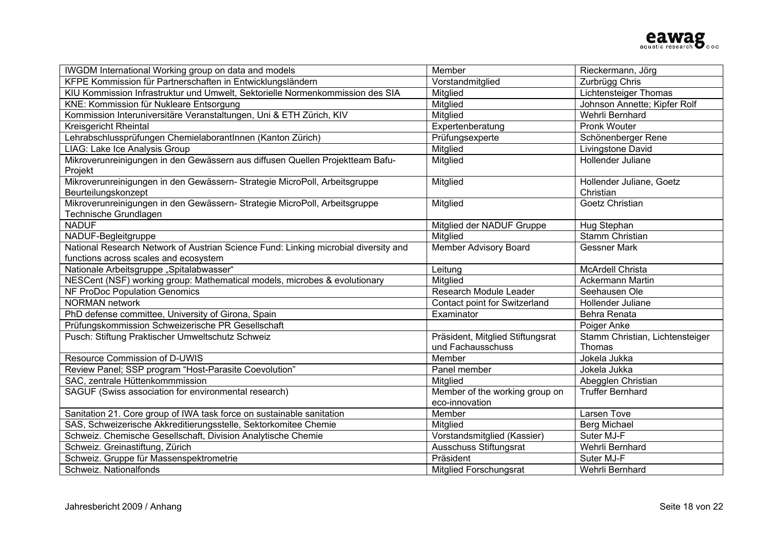| IWGDM International Working group on data and models                                               | Member                                           | Rieckermann, Jörg               |
|----------------------------------------------------------------------------------------------------|--------------------------------------------------|---------------------------------|
| KFPE Kommission für Partnerschaften in Entwicklungsländern                                         | Vorstandmitglied                                 | Zurbrügg Chris                  |
| KIU Kommission Infrastruktur und Umwelt, Sektorielle Normenkommission des SIA                      | Mitglied                                         | <b>Lichtensteiger Thomas</b>    |
| KNE: Kommission für Nukleare Entsorgung                                                            | Mitglied                                         | Johnson Annette; Kipfer Rolf    |
| Kommission Interuniversitäre Veranstaltungen, Uni & ETH Zürich, KIV                                | Mitglied                                         | Wehrli Bernhard                 |
| <b>Kreisgericht Rheintal</b>                                                                       | Expertenberatung                                 | <b>Pronk Wouter</b>             |
| Lehrabschlussprüfungen Chemielaborantlnnen (Kanton Zürich)                                         | Prüfungsexperte                                  | Schönenberger Rene              |
| LIAG: Lake Ice Analysis Group                                                                      | Mitglied                                         | Livingstone David               |
| Mikroverunreinigungen in den Gewässern aus diffusen Quellen Projektteam Bafu-<br>Projekt           | Mitglied                                         | Hollender Juliane               |
| Mikroverunreinigungen in den Gewässern- Strategie MicroPoll, Arbeitsgruppe                         | Mitglied                                         | Hollender Juliane, Goetz        |
| Beurteilungskonzept                                                                                |                                                  | Christian                       |
| Mikroverunreinigungen in den Gewässern-Strategie MicroPoll, Arbeitsgruppe<br>Technische Grundlagen | Mitglied                                         | Goetz Christian                 |
| <b>NADUF</b>                                                                                       | Mitglied der NADUF Gruppe                        | Hug Stephan                     |
| NADUF-Begleitgruppe                                                                                | Mitglied                                         | Stamm Christian                 |
| National Research Network of Austrian Science Fund: Linking microbial diversity and                | <b>Member Advisory Board</b>                     | <b>Gessner Mark</b>             |
| functions across scales and ecosystem                                                              |                                                  |                                 |
| Nationale Arbeitsgruppe "Spitalabwasser"                                                           | Leitung                                          | McArdell Christa                |
| NESCent (NSF) working group: Mathematical models, microbes & evolutionary                          | Mitglied                                         | Ackermann Martin                |
| NF ProDoc Population Genomics                                                                      | Research Module Leader                           | Seehausen Ole                   |
| <b>NORMAN</b> network                                                                              | Contact point for Switzerland                    | Hollender Juliane               |
| PhD defense committee, University of Girona, Spain                                                 | Examinator                                       | Behra Renata                    |
| Prüfungskommission Schweizerische PR Gesellschaft                                                  |                                                  | Poiger Anke                     |
| Pusch: Stiftung Praktischer Umweltschutz Schweiz                                                   | Präsident, Mitglied Stiftungsrat                 | Stamm Christian, Lichtensteiger |
|                                                                                                    | und Fachausschuss                                | Thomas                          |
| Resource Commission of D-UWIS                                                                      | Member                                           | Jokela Jukka                    |
| Review Panel; SSP program "Host-Parasite Coevolution"                                              | Panel member                                     | Jokela Jukka                    |
| SAC, zentrale Hüttenkommmission                                                                    | Mitglied                                         | Abegglen Christian              |
| SAGUF (Swiss association for environmental research)                                               | Member of the working group on<br>eco-innovation | <b>Truffer Bernhard</b>         |
| Sanitation 21. Core group of IWA task force on sustainable sanitation                              | Member                                           | Larsen Tove                     |
| SAS, Schweizerische Akkreditierungsstelle, Sektorkomitee Chemie                                    | <b>Mitglied</b>                                  | Berg Michael                    |
| Schweiz. Chemische Gesellschaft, Division Analytische Chemie                                       | Vorstandsmitglied (Kassier)                      | Suter MJ-F                      |
| Schweiz. Greinastiftung, Zürich                                                                    | Ausschuss Stiftungsrat                           | Wehrli Bernhard                 |
| Schweiz. Gruppe für Massenspektrometrie                                                            | Präsident                                        | Suter MJ-F                      |
| Schweiz. Nationalfonds                                                                             | <b>Mitglied Forschungsrat</b>                    | Wehrli Bernhard                 |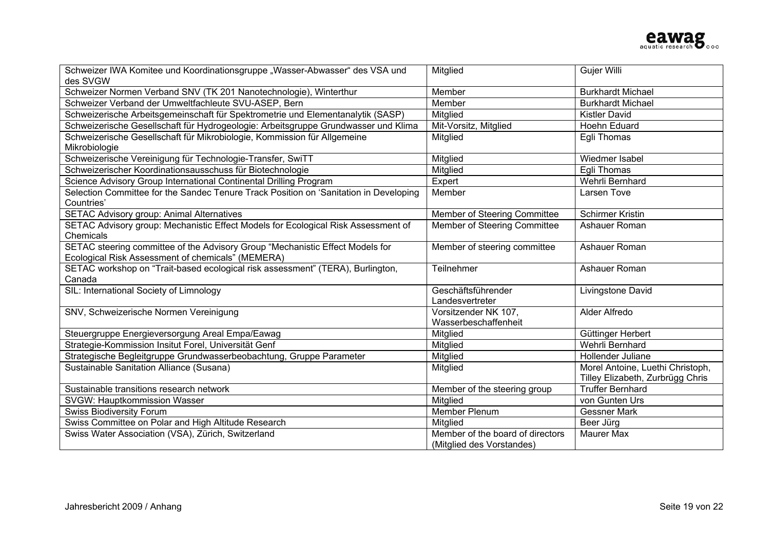

| Schweizer IWA Komitee und Koordinationsgruppe "Wasser-Abwasser" des VSA und           | Mitglied                         | Gujer Willi                      |
|---------------------------------------------------------------------------------------|----------------------------------|----------------------------------|
| des SVGW                                                                              |                                  |                                  |
| Schweizer Normen Verband SNV (TK 201 Nanotechnologie), Winterthur                     | Member                           | <b>Burkhardt Michael</b>         |
| Schweizer Verband der Umweltfachleute SVU-ASEP, Bern                                  | Member                           | <b>Burkhardt Michael</b>         |
| Schweizerische Arbeitsgemeinschaft für Spektrometrie und Elementanalytik (SASP)       | Mitglied                         | <b>Kistler David</b>             |
| Schweizerische Gesellschaft für Hydrogeologie: Arbeitsgruppe Grundwasser und Klima    | Mit-Vorsitz, Mitglied            | Hoehn Eduard                     |
| Schweizerische Gesellschaft für Mikrobiologie, Kommission für Allgemeine              | Mitglied                         | Egli Thomas                      |
| Mikrobiologie                                                                         |                                  |                                  |
| Schweizerische Vereinigung für Technologie-Transfer, SwiTT                            | Mitglied                         | Wiedmer Isabel                   |
| Schweizerischer Koordinationsausschuss für Biotechnologie                             | Mitglied                         | Egli Thomas                      |
| Science Advisory Group International Continental Drilling Program                     | Expert                           | Wehrli Bernhard                  |
| Selection Committee for the Sandec Tenure Track Position on 'Sanitation in Developing | Member                           | Larsen Tove                      |
| Countries'                                                                            |                                  |                                  |
| <b>SETAC Advisory group: Animal Alternatives</b>                                      | Member of Steering Committee     | <b>Schirmer Kristin</b>          |
| SETAC Advisory group: Mechanistic Effect Models for Ecological Risk Assessment of     | Member of Steering Committee     | Ashauer Roman                    |
| Chemicals                                                                             |                                  |                                  |
| SETAC steering committee of the Advisory Group "Mechanistic Effect Models for         | Member of steering committee     | Ashauer Roman                    |
| Ecological Risk Assessment of chemicals" (MEMERA)                                     |                                  |                                  |
| SETAC workshop on "Trait-based ecological risk assessment" (TERA), Burlington,        | Teilnehmer                       | Ashauer Roman                    |
| Canada                                                                                |                                  |                                  |
| SIL: International Society of Limnology                                               | Geschäftsführender               | Livingstone David                |
|                                                                                       | Landesvertreter                  |                                  |
| SNV, Schweizerische Normen Vereinigung                                                | Vorsitzender NK 107,             | Alder Alfredo                    |
|                                                                                       | Wasserbeschaffenheit             |                                  |
| Steuergruppe Energieversorgung Areal Empa/Eawag                                       | Mitglied                         | Güttinger Herbert                |
| Strategie-Kommission Insitut Forel, Universität Genf                                  | Mitglied                         | Wehrli Bernhard                  |
| Strategische Begleitgruppe Grundwasserbeobachtung, Gruppe Parameter                   | Mitglied                         | Hollender Juliane                |
| Sustainable Sanitation Alliance (Susana)                                              | Mitglied                         | Morel Antoine, Luethi Christoph, |
|                                                                                       |                                  | Tilley Elizabeth, Zurbrügg Chris |
| Sustainable transitions research network                                              | Member of the steering group     | <b>Truffer Bernhard</b>          |
| SVGW: Hauptkommission Wasser                                                          | Mitglied                         | von Gunten Urs                   |
| <b>Swiss Biodiversity Forum</b>                                                       | Member Plenum                    | <b>Gessner Mark</b>              |
| Swiss Committee on Polar and High Altitude Research                                   | Mitglied                         | Beer Jürg                        |
| Swiss Water Association (VSA), Zürich, Switzerland                                    | Member of the board of directors | <b>Maurer Max</b>                |
|                                                                                       | (Mitglied des Vorstandes)        |                                  |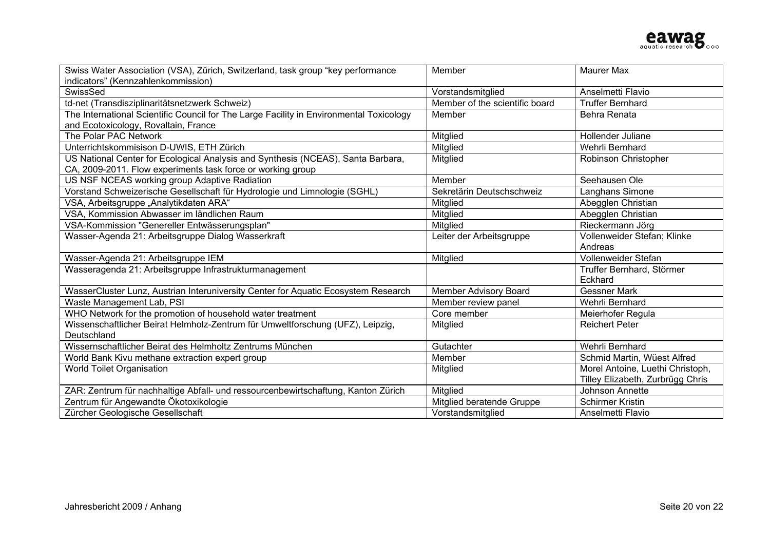

| Swiss Water Association (VSA), Zürich, Switzerland, task group "key performance                                                                 | Member                         | <b>Maurer Max</b>                |
|-------------------------------------------------------------------------------------------------------------------------------------------------|--------------------------------|----------------------------------|
| indicators" (Kennzahlenkommission)                                                                                                              |                                |                                  |
| SwissSed                                                                                                                                        | Vorstandsmitglied              | Anselmetti Flavio                |
| td-net (Transdisziplinaritätsnetzwerk Schweiz)                                                                                                  | Member of the scientific board | <b>Truffer Bernhard</b>          |
| The International Scientific Council for The Large Facility in Environmental Toxicology                                                         | Member                         | Behra Renata                     |
| and Ecotoxicology, Rovaltain, France                                                                                                            |                                |                                  |
| The Polar PAC Network                                                                                                                           | Mitglied                       | Hollender Juliane                |
| Unterrichtskommisison D-UWIS, ETH Zürich                                                                                                        | Mitglied                       | Wehrli Bernhard                  |
| US National Center for Ecological Analysis and Synthesis (NCEAS), Santa Barbara,<br>CA, 2009-2011. Flow experiments task force or working group | Mitglied                       | Robinson Christopher             |
| US NSF NCEAS working group Adaptive Radiation                                                                                                   | Member                         | Seehausen Ole                    |
| Vorstand Schweizerische Gesellschaft für Hydrologie und Limnologie (SGHL)                                                                       | Sekretärin Deutschschweiz      | Langhans Simone                  |
| VSA, Arbeitsgruppe "Analytikdaten ARA"                                                                                                          | Mitglied                       | Abegglen Christian               |
| VSA, Kommission Abwasser im ländlichen Raum                                                                                                     | Mitglied                       | Abegglen Christian               |
| VSA-Kommission "Genereller Entwässerungsplan"                                                                                                   | Mitglied                       | Rieckermann Jörg                 |
| Wasser-Agenda 21: Arbeitsgruppe Dialog Wasserkraft                                                                                              | Leiter der Arbeitsgruppe       | Vollenweider Stefan; Klinke      |
|                                                                                                                                                 |                                | Andreas                          |
| Wasser-Agenda 21: Arbeitsgruppe IEM                                                                                                             | Mitglied                       | Vollenweider Stefan              |
| Wasseragenda 21: Arbeitsgruppe Infrastrukturmanagement                                                                                          |                                | Truffer Bernhard, Störmer        |
|                                                                                                                                                 |                                | Eckhard                          |
| WasserCluster Lunz, Austrian Interuniversity Center for Aquatic Ecosystem Research                                                              | Member Advisory Board          | <b>Gessner Mark</b>              |
| Waste Management Lab, PSI                                                                                                                       | Member review panel            | Wehrli Bernhard                  |
| WHO Network for the promotion of household water treatment                                                                                      | Core member                    | Meierhofer Regula                |
| Wissenschaftlicher Beirat Helmholz-Zentrum für Umweltforschung (UFZ), Leipzig,                                                                  | Mitglied                       | <b>Reichert Peter</b>            |
| Deutschland                                                                                                                                     |                                |                                  |
| Wissernschaftlicher Beirat des Helmholtz Zentrums München                                                                                       | Gutachter                      | Wehrli Bernhard                  |
| World Bank Kivu methane extraction expert group                                                                                                 | Member                         | Schmid Martin, Wüest Alfred      |
| <b>World Toilet Organisation</b>                                                                                                                | Mitglied                       | Morel Antoine, Luethi Christoph, |
|                                                                                                                                                 |                                | Tilley Elizabeth, Zurbrügg Chris |
| ZAR: Zentrum für nachhaltige Abfall- und ressourcenbewirtschaftung, Kanton Zürich                                                               | <b>Mitglied</b>                | Johnson Annette                  |
| Zentrum für Angewandte Ökotoxikologie                                                                                                           | Mitglied beratende Gruppe      | <b>Schirmer Kristin</b>          |
| Zürcher Geologische Gesellschaft                                                                                                                | Vorstandsmitglied              | Anselmetti Flavio                |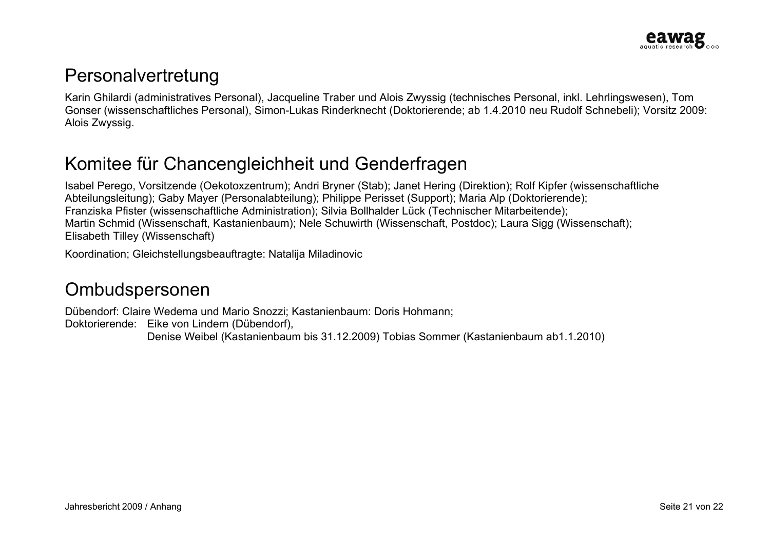#### Personalvertretung

Karin Ghilardi (administratives Personal), Jacqueline Traber und Alois Zwyssig (technisches Personal, inkl. Lehrlingswesen), Tom Gonser (wissenschaftliches Personal), Simon-Lukas Rinderknecht (Doktorierende; ab 1.4.2010 neu Rudolf Schnebeli); Vorsitz 2009: Alois Zwyssig.

# Komitee für Chancengleichheit und Genderfragen

Isabel Perego, Vorsitzende (Oekotoxzentrum); Andri Bryner (Stab); Janet Hering (Direktion); Rolf Kipfer (wissenschaftliche Abteilungsleitung); Gaby Mayer (Personalabteilung); Philippe Perisset (Support); Maria Alp (Doktorierende); Franziska Pfister (wissenschaftliche Administration); Silvia Bollhalder Lück (Technischer Mitarbeitende); Martin Schmid (Wissenschaft, Kastanienbaum); Nele Schuwirth (Wissenschaft, Postdoc); Laura Sigg (Wissenschaft); Elisabeth Tilley (Wissenschaft)

Koordination; Gleichstellungsbeauftragte: Natalija Miladinovic

### Ombudspersonen

Dübendorf: Claire Wedema und Mario Snozzi; Kastanienbaum: Doris Hohmann; Doktorierende: Eike von Lindern (Dübendorf), Denise Weibel (Kastanienbaum bis 31.12.2009) Tobias Sommer (Kastanienbaum ab1.1.2010)